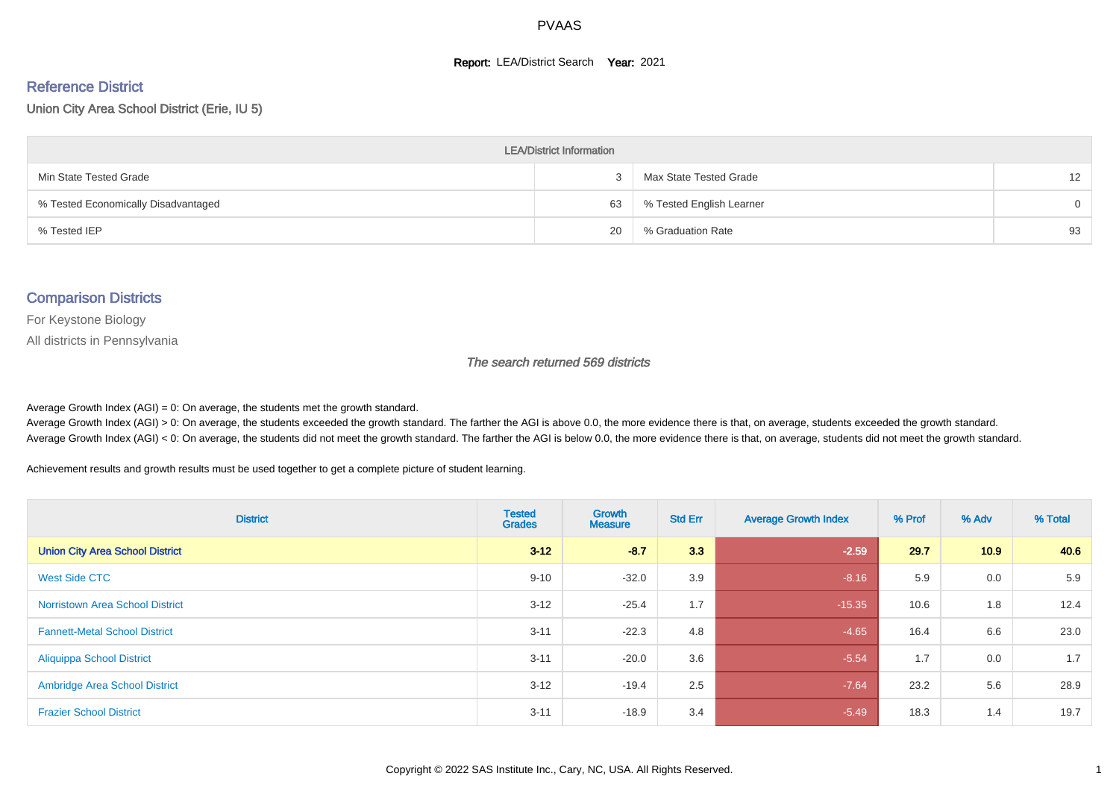#### **Report: LEA/District Search Year: 2021**

#### Reference District

Union City Area School District (Erie, IU 5)

| <b>LEA/District Information</b>     |    |                          |                   |  |  |  |  |  |  |  |
|-------------------------------------|----|--------------------------|-------------------|--|--|--|--|--|--|--|
| Min State Tested Grade              |    | Max State Tested Grade   | $12 \overline{ }$ |  |  |  |  |  |  |  |
| % Tested Economically Disadvantaged | 63 | % Tested English Learner | $\Omega$          |  |  |  |  |  |  |  |
| % Tested IEP                        | 20 | % Graduation Rate        | 93                |  |  |  |  |  |  |  |

#### Comparison Districts

For Keystone Biology

All districts in Pennsylvania

The search returned 569 districts

Average Growth Index  $(AGI) = 0$ : On average, the students met the growth standard.

Average Growth Index (AGI) > 0: On average, the students exceeded the growth standard. The farther the AGI is above 0.0, the more evidence there is that, on average, students exceeded the growth standard. Average Growth Index (AGI) < 0: On average, the students did not meet the growth standard. The farther the AGI is below 0.0, the more evidence there is that, on average, students did not meet the growth standard.

Achievement results and growth results must be used together to get a complete picture of student learning.

| <b>District</b>                        | <b>Tested</b><br><b>Grades</b> | Growth<br><b>Measure</b> | <b>Std Err</b> | <b>Average Growth Index</b> | % Prof | % Adv | % Total |
|----------------------------------------|--------------------------------|--------------------------|----------------|-----------------------------|--------|-------|---------|
| <b>Union City Area School District</b> | $3 - 12$                       | $-8.7$                   | 3.3            | $-2.59$                     | 29.7   | 10.9  | 40.6    |
| West Side CTC                          | $9 - 10$                       | $-32.0$                  | 3.9            | $-8.16$                     | 5.9    | 0.0   | 5.9     |
| <b>Norristown Area School District</b> | $3 - 12$                       | $-25.4$                  | 1.7            | $-15.35$                    | 10.6   | 1.8   | 12.4    |
| <b>Fannett-Metal School District</b>   | $3 - 11$                       | $-22.3$                  | 4.8            | $-4.65$                     | 16.4   | 6.6   | 23.0    |
| <b>Aliquippa School District</b>       | $3 - 11$                       | $-20.0$                  | 3.6            | $-5.54$                     | 1.7    | 0.0   | 1.7     |
| <b>Ambridge Area School District</b>   | $3 - 12$                       | $-19.4$                  | 2.5            | $-7.64$                     | 23.2   | 5.6   | 28.9    |
| <b>Frazier School District</b>         | $3 - 11$                       | $-18.9$                  | 3.4            | $-5.49$                     | 18.3   | 1.4   | 19.7    |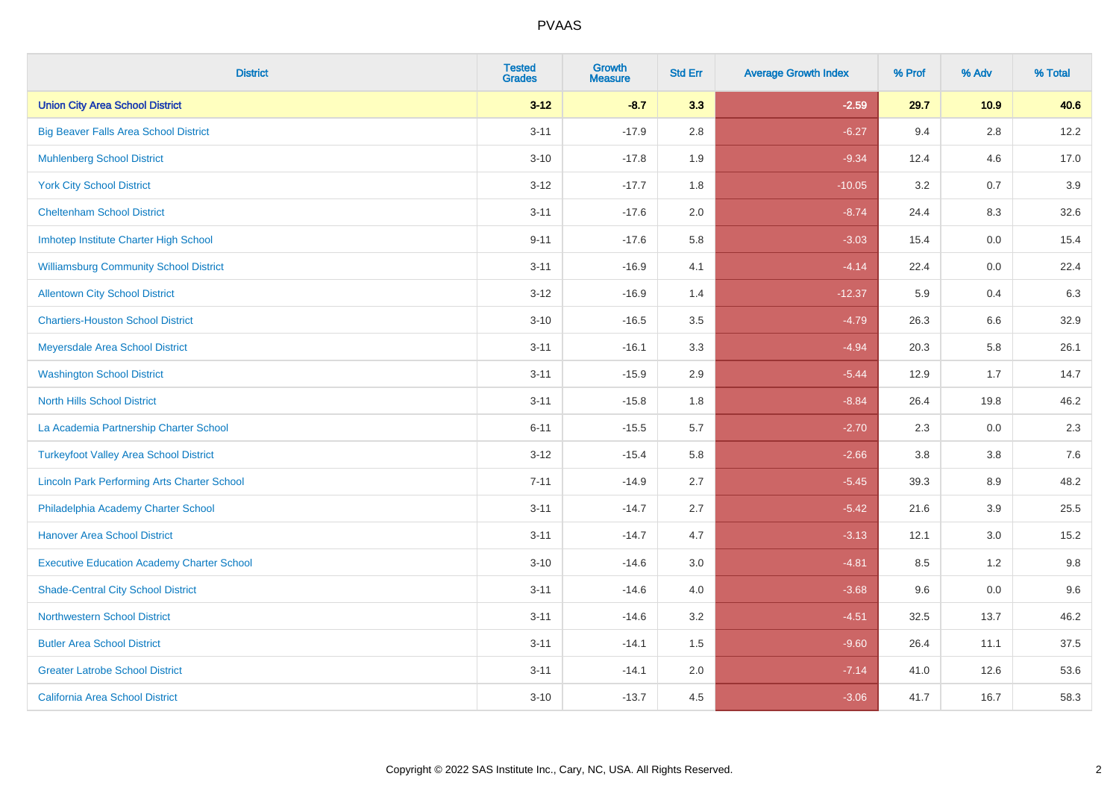| <b>District</b>                                    | <b>Tested</b><br><b>Grades</b> | <b>Growth</b><br><b>Measure</b> | <b>Std Err</b> | <b>Average Growth Index</b> | % Prof | % Adv   | % Total |
|----------------------------------------------------|--------------------------------|---------------------------------|----------------|-----------------------------|--------|---------|---------|
| <b>Union City Area School District</b>             | $3 - 12$                       | $-8.7$                          | 3.3            | $-2.59$                     | 29.7   | 10.9    | 40.6    |
| <b>Big Beaver Falls Area School District</b>       | $3 - 11$                       | $-17.9$                         | 2.8            | $-6.27$                     | 9.4    | 2.8     | 12.2    |
| <b>Muhlenberg School District</b>                  | $3 - 10$                       | $-17.8$                         | 1.9            | $-9.34$                     | 12.4   | 4.6     | 17.0    |
| <b>York City School District</b>                   | $3 - 12$                       | $-17.7$                         | 1.8            | $-10.05$                    | 3.2    | 0.7     | 3.9     |
| <b>Cheltenham School District</b>                  | $3 - 11$                       | $-17.6$                         | 2.0            | $-8.74$                     | 24.4   | 8.3     | 32.6    |
| Imhotep Institute Charter High School              | $9 - 11$                       | $-17.6$                         | 5.8            | $-3.03$                     | 15.4   | 0.0     | 15.4    |
| <b>Williamsburg Community School District</b>      | $3 - 11$                       | $-16.9$                         | 4.1            | $-4.14$                     | 22.4   | 0.0     | 22.4    |
| <b>Allentown City School District</b>              | $3 - 12$                       | $-16.9$                         | 1.4            | $-12.37$                    | 5.9    | 0.4     | 6.3     |
| <b>Chartiers-Houston School District</b>           | $3 - 10$                       | $-16.5$                         | 3.5            | $-4.79$                     | 26.3   | 6.6     | 32.9    |
| Meyersdale Area School District                    | $3 - 11$                       | $-16.1$                         | 3.3            | $-4.94$                     | 20.3   | 5.8     | 26.1    |
| <b>Washington School District</b>                  | $3 - 11$                       | $-15.9$                         | 2.9            | $-5.44$                     | 12.9   | 1.7     | 14.7    |
| <b>North Hills School District</b>                 | $3 - 11$                       | $-15.8$                         | 1.8            | $-8.84$                     | 26.4   | 19.8    | 46.2    |
| La Academia Partnership Charter School             | $6 - 11$                       | $-15.5$                         | 5.7            | $-2.70$                     | 2.3    | 0.0     | 2.3     |
| <b>Turkeyfoot Valley Area School District</b>      | $3 - 12$                       | $-15.4$                         | 5.8            | $-2.66$                     | 3.8    | $3.8\,$ | 7.6     |
| <b>Lincoln Park Performing Arts Charter School</b> | $7 - 11$                       | $-14.9$                         | 2.7            | $-5.45$                     | 39.3   | 8.9     | 48.2    |
| Philadelphia Academy Charter School                | $3 - 11$                       | $-14.7$                         | 2.7            | $-5.42$                     | 21.6   | 3.9     | 25.5    |
| <b>Hanover Area School District</b>                | $3 - 11$                       | $-14.7$                         | 4.7            | $-3.13$                     | 12.1   | 3.0     | 15.2    |
| <b>Executive Education Academy Charter School</b>  | $3 - 10$                       | $-14.6$                         | 3.0            | $-4.81$                     | 8.5    | 1.2     | 9.8     |
| <b>Shade-Central City School District</b>          | $3 - 11$                       | $-14.6$                         | 4.0            | $-3.68$                     | 9.6    | 0.0     | 9.6     |
| <b>Northwestern School District</b>                | $3 - 11$                       | $-14.6$                         | 3.2            | $-4.51$                     | 32.5   | 13.7    | 46.2    |
| <b>Butler Area School District</b>                 | $3 - 11$                       | $-14.1$                         | 1.5            | $-9.60$                     | 26.4   | 11.1    | 37.5    |
| <b>Greater Latrobe School District</b>             | $3 - 11$                       | $-14.1$                         | 2.0            | $-7.14$                     | 41.0   | 12.6    | 53.6    |
| <b>California Area School District</b>             | $3 - 10$                       | $-13.7$                         | 4.5            | $-3.06$                     | 41.7   | 16.7    | 58.3    |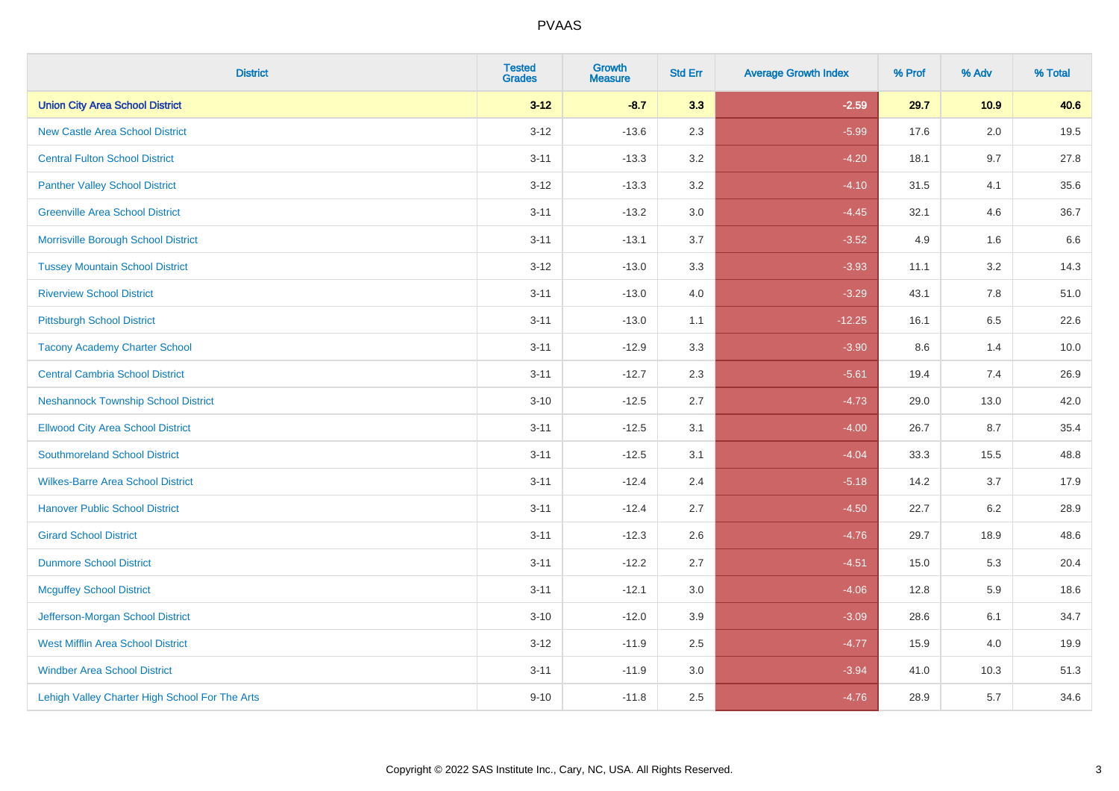| <b>District</b>                                | <b>Tested</b><br><b>Grades</b> | <b>Growth</b><br><b>Measure</b> | <b>Std Err</b> | <b>Average Growth Index</b> | % Prof | % Adv   | % Total |
|------------------------------------------------|--------------------------------|---------------------------------|----------------|-----------------------------|--------|---------|---------|
| <b>Union City Area School District</b>         | $3 - 12$                       | $-8.7$                          | 3.3            | $-2.59$                     | 29.7   | 10.9    | 40.6    |
| <b>New Castle Area School District</b>         | $3 - 12$                       | $-13.6$                         | 2.3            | $-5.99$                     | 17.6   | $2.0\,$ | 19.5    |
| <b>Central Fulton School District</b>          | $3 - 11$                       | $-13.3$                         | 3.2            | $-4.20$                     | 18.1   | 9.7     | 27.8    |
| <b>Panther Valley School District</b>          | $3-12$                         | $-13.3$                         | 3.2            | $-4.10$                     | 31.5   | 4.1     | 35.6    |
| <b>Greenville Area School District</b>         | $3 - 11$                       | $-13.2$                         | 3.0            | $-4.45$                     | 32.1   | 4.6     | 36.7    |
| Morrisville Borough School District            | $3 - 11$                       | $-13.1$                         | 3.7            | $-3.52$                     | 4.9    | 1.6     | 6.6     |
| <b>Tussey Mountain School District</b>         | $3 - 12$                       | $-13.0$                         | 3.3            | $-3.93$                     | 11.1   | 3.2     | 14.3    |
| <b>Riverview School District</b>               | $3 - 11$                       | $-13.0$                         | 4.0            | $-3.29$                     | 43.1   | 7.8     | 51.0    |
| <b>Pittsburgh School District</b>              | $3 - 11$                       | $-13.0$                         | 1.1            | $-12.25$                    | 16.1   | 6.5     | 22.6    |
| <b>Tacony Academy Charter School</b>           | $3 - 11$                       | $-12.9$                         | 3.3            | $-3.90$                     | 8.6    | 1.4     | 10.0    |
| <b>Central Cambria School District</b>         | $3 - 11$                       | $-12.7$                         | 2.3            | $-5.61$                     | 19.4   | 7.4     | 26.9    |
| <b>Neshannock Township School District</b>     | $3 - 10$                       | $-12.5$                         | 2.7            | $-4.73$                     | 29.0   | 13.0    | 42.0    |
| <b>Ellwood City Area School District</b>       | $3 - 11$                       | $-12.5$                         | 3.1            | $-4.00$                     | 26.7   | 8.7     | 35.4    |
| <b>Southmoreland School District</b>           | $3 - 11$                       | $-12.5$                         | 3.1            | $-4.04$                     | 33.3   | 15.5    | 48.8    |
| <b>Wilkes-Barre Area School District</b>       | $3 - 11$                       | $-12.4$                         | 2.4            | $-5.18$                     | 14.2   | 3.7     | 17.9    |
| <b>Hanover Public School District</b>          | $3 - 11$                       | $-12.4$                         | 2.7            | $-4.50$                     | 22.7   | $6.2\,$ | 28.9    |
| <b>Girard School District</b>                  | $3 - 11$                       | $-12.3$                         | 2.6            | $-4.76$                     | 29.7   | 18.9    | 48.6    |
| <b>Dunmore School District</b>                 | $3 - 11$                       | $-12.2$                         | 2.7            | $-4.51$                     | 15.0   | 5.3     | 20.4    |
| <b>Mcguffey School District</b>                | $3 - 11$                       | $-12.1$                         | 3.0            | $-4.06$                     | 12.8   | 5.9     | 18.6    |
| Jefferson-Morgan School District               | $3 - 10$                       | $-12.0$                         | 3.9            | $-3.09$                     | 28.6   | 6.1     | 34.7    |
| <b>West Mifflin Area School District</b>       | $3-12$                         | $-11.9$                         | 2.5            | $-4.77$                     | 15.9   | 4.0     | 19.9    |
| <b>Windber Area School District</b>            | $3 - 11$                       | $-11.9$                         | 3.0            | $-3.94$                     | 41.0   | 10.3    | 51.3    |
| Lehigh Valley Charter High School For The Arts | $9 - 10$                       | $-11.8$                         | 2.5            | $-4.76$                     | 28.9   | 5.7     | 34.6    |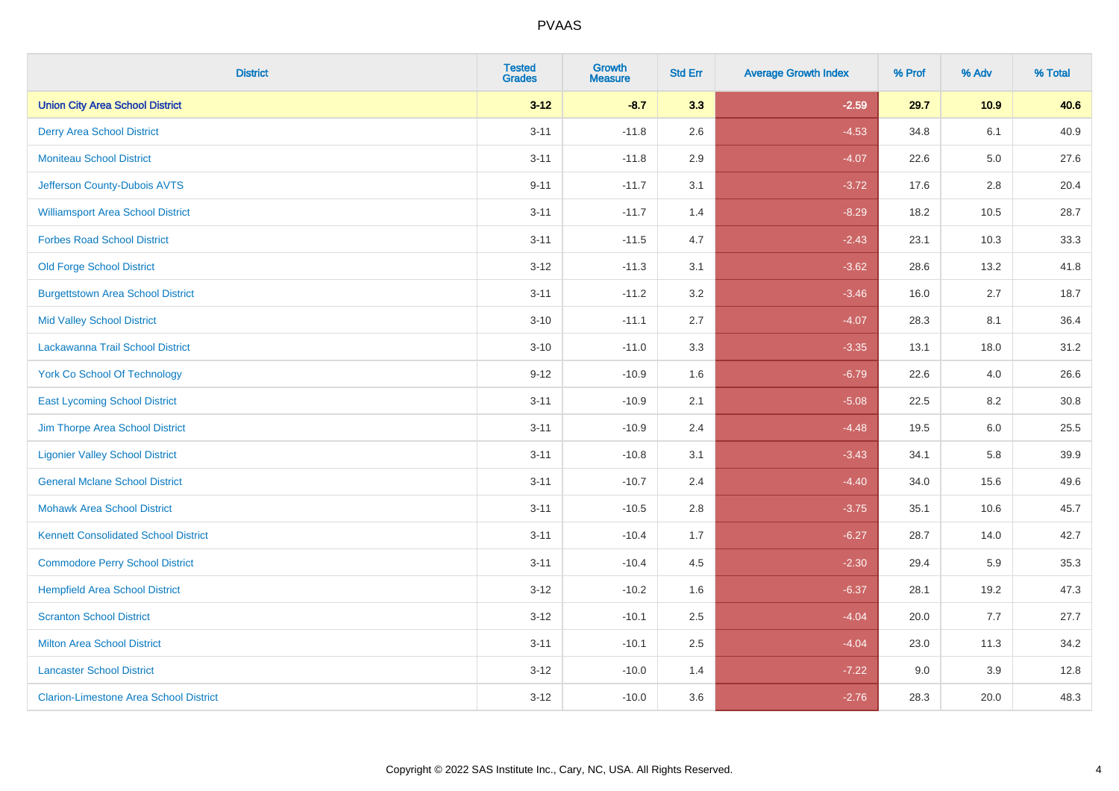| <b>District</b>                               | <b>Tested</b><br><b>Grades</b> | <b>Growth</b><br><b>Measure</b> | <b>Std Err</b> | <b>Average Growth Index</b> | % Prof | % Adv   | % Total |
|-----------------------------------------------|--------------------------------|---------------------------------|----------------|-----------------------------|--------|---------|---------|
| <b>Union City Area School District</b>        | $3 - 12$                       | $-8.7$                          | 3.3            | $-2.59$                     | 29.7   | 10.9    | 40.6    |
| <b>Derry Area School District</b>             | $3 - 11$                       | $-11.8$                         | 2.6            | $-4.53$                     | 34.8   | 6.1     | 40.9    |
| <b>Moniteau School District</b>               | $3 - 11$                       | $-11.8$                         | 2.9            | $-4.07$                     | 22.6   | $5.0\,$ | 27.6    |
| Jefferson County-Dubois AVTS                  | $9 - 11$                       | $-11.7$                         | 3.1            | $-3.72$                     | 17.6   | 2.8     | 20.4    |
| <b>Williamsport Area School District</b>      | $3 - 11$                       | $-11.7$                         | 1.4            | $-8.29$                     | 18.2   | 10.5    | 28.7    |
| <b>Forbes Road School District</b>            | $3 - 11$                       | $-11.5$                         | 4.7            | $-2.43$                     | 23.1   | 10.3    | 33.3    |
| <b>Old Forge School District</b>              | $3 - 12$                       | $-11.3$                         | 3.1            | $-3.62$                     | 28.6   | 13.2    | 41.8    |
| <b>Burgettstown Area School District</b>      | $3 - 11$                       | $-11.2$                         | 3.2            | $-3.46$                     | 16.0   | 2.7     | 18.7    |
| <b>Mid Valley School District</b>             | $3 - 10$                       | $-11.1$                         | 2.7            | $-4.07$                     | 28.3   | 8.1     | 36.4    |
| Lackawanna Trail School District              | $3 - 10$                       | $-11.0$                         | 3.3            | $-3.35$                     | 13.1   | 18.0    | 31.2    |
| <b>York Co School Of Technology</b>           | $9 - 12$                       | $-10.9$                         | 1.6            | $-6.79$                     | 22.6   | 4.0     | 26.6    |
| <b>East Lycoming School District</b>          | $3 - 11$                       | $-10.9$                         | 2.1            | $-5.08$                     | 22.5   | 8.2     | 30.8    |
| Jim Thorpe Area School District               | $3 - 11$                       | $-10.9$                         | 2.4            | $-4.48$                     | 19.5   | $6.0\,$ | 25.5    |
| <b>Ligonier Valley School District</b>        | $3 - 11$                       | $-10.8$                         | 3.1            | $-3.43$                     | 34.1   | 5.8     | 39.9    |
| <b>General Mclane School District</b>         | $3 - 11$                       | $-10.7$                         | 2.4            | $-4.40$                     | 34.0   | 15.6    | 49.6    |
| <b>Mohawk Area School District</b>            | $3 - 11$                       | $-10.5$                         | 2.8            | $-3.75$                     | 35.1   | 10.6    | 45.7    |
| <b>Kennett Consolidated School District</b>   | $3 - 11$                       | $-10.4$                         | 1.7            | $-6.27$                     | 28.7   | 14.0    | 42.7    |
| <b>Commodore Perry School District</b>        | $3 - 11$                       | $-10.4$                         | 4.5            | $-2.30$                     | 29.4   | 5.9     | 35.3    |
| <b>Hempfield Area School District</b>         | $3 - 12$                       | $-10.2$                         | 1.6            | $-6.37$                     | 28.1   | 19.2    | 47.3    |
| <b>Scranton School District</b>               | $3 - 12$                       | $-10.1$                         | 2.5            | $-4.04$                     | 20.0   | 7.7     | 27.7    |
| <b>Milton Area School District</b>            | $3 - 11$                       | $-10.1$                         | 2.5            | $-4.04$                     | 23.0   | 11.3    | 34.2    |
| <b>Lancaster School District</b>              | $3 - 12$                       | $-10.0$                         | 1.4            | $-7.22$                     | 9.0    | 3.9     | 12.8    |
| <b>Clarion-Limestone Area School District</b> | $3 - 12$                       | $-10.0$                         | 3.6            | $-2.76$                     | 28.3   | 20.0    | 48.3    |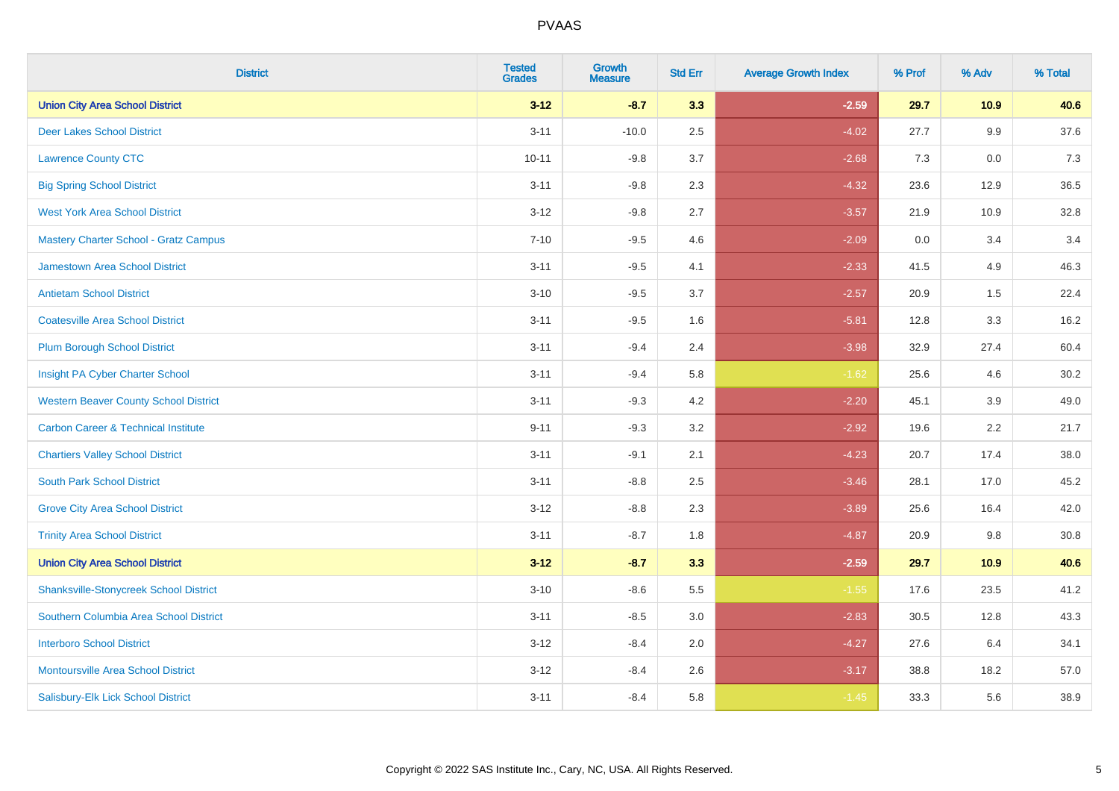| <b>District</b>                                | <b>Tested</b><br><b>Grades</b> | <b>Growth</b><br><b>Measure</b> | <b>Std Err</b> | <b>Average Growth Index</b> | % Prof | % Adv   | % Total |
|------------------------------------------------|--------------------------------|---------------------------------|----------------|-----------------------------|--------|---------|---------|
| <b>Union City Area School District</b>         | $3 - 12$                       | $-8.7$                          | 3.3            | $-2.59$                     | 29.7   | 10.9    | 40.6    |
| <b>Deer Lakes School District</b>              | $3 - 11$                       | $-10.0$                         | 2.5            | $-4.02$                     | 27.7   | $9.9\,$ | 37.6    |
| <b>Lawrence County CTC</b>                     | $10 - 11$                      | $-9.8$                          | 3.7            | $-2.68$                     | 7.3    | 0.0     | 7.3     |
| <b>Big Spring School District</b>              | $3 - 11$                       | $-9.8$                          | 2.3            | $-4.32$                     | 23.6   | 12.9    | 36.5    |
| <b>West York Area School District</b>          | $3 - 12$                       | $-9.8$                          | 2.7            | $-3.57$                     | 21.9   | 10.9    | 32.8    |
| Mastery Charter School - Gratz Campus          | $7 - 10$                       | $-9.5$                          | 4.6            | $-2.09$                     | 0.0    | 3.4     | 3.4     |
| <b>Jamestown Area School District</b>          | $3 - 11$                       | $-9.5$                          | 4.1            | $-2.33$                     | 41.5   | 4.9     | 46.3    |
| <b>Antietam School District</b>                | $3 - 10$                       | $-9.5$                          | 3.7            | $-2.57$                     | 20.9   | 1.5     | 22.4    |
| <b>Coatesville Area School District</b>        | $3 - 11$                       | $-9.5$                          | 1.6            | $-5.81$                     | 12.8   | 3.3     | 16.2    |
| Plum Borough School District                   | $3 - 11$                       | $-9.4$                          | 2.4            | $-3.98$                     | 32.9   | 27.4    | 60.4    |
| Insight PA Cyber Charter School                | $3 - 11$                       | $-9.4$                          | 5.8            | $-1.62$                     | 25.6   | 4.6     | 30.2    |
| <b>Western Beaver County School District</b>   | $3 - 11$                       | $-9.3$                          | 4.2            | $-2.20$                     | 45.1   | 3.9     | 49.0    |
| <b>Carbon Career &amp; Technical Institute</b> | $9 - 11$                       | $-9.3$                          | 3.2            | $-2.92$                     | 19.6   | 2.2     | 21.7    |
| <b>Chartiers Valley School District</b>        | $3 - 11$                       | $-9.1$                          | 2.1            | $-4.23$                     | 20.7   | 17.4    | 38.0    |
| <b>South Park School District</b>              | $3 - 11$                       | $-8.8$                          | 2.5            | $-3.46$                     | 28.1   | 17.0    | 45.2    |
| <b>Grove City Area School District</b>         | $3 - 12$                       | $-8.8$                          | 2.3            | $-3.89$                     | 25.6   | 16.4    | 42.0    |
| <b>Trinity Area School District</b>            | $3 - 11$                       | $-8.7$                          | 1.8            | $-4.87$                     | 20.9   | 9.8     | 30.8    |
| <b>Union City Area School District</b>         | $3 - 12$                       | $-8.7$                          | 3.3            | $-2.59$                     | 29.7   | 10.9    | 40.6    |
| <b>Shanksville-Stonycreek School District</b>  | $3 - 10$                       | $-8.6$                          | 5.5            | $-1.55$                     | 17.6   | 23.5    | 41.2    |
| Southern Columbia Area School District         | $3 - 11$                       | $-8.5$                          | 3.0            | $-2.83$                     | 30.5   | 12.8    | 43.3    |
| <b>Interboro School District</b>               | $3-12$                         | $-8.4$                          | 2.0            | $-4.27$                     | 27.6   | 6.4     | 34.1    |
| <b>Montoursville Area School District</b>      | $3 - 12$                       | $-8.4$                          | 2.6            | $-3.17$                     | 38.8   | 18.2    | 57.0    |
| Salisbury-Elk Lick School District             | $3 - 11$                       | $-8.4$                          | 5.8            | $-1.45$                     | 33.3   | 5.6     | 38.9    |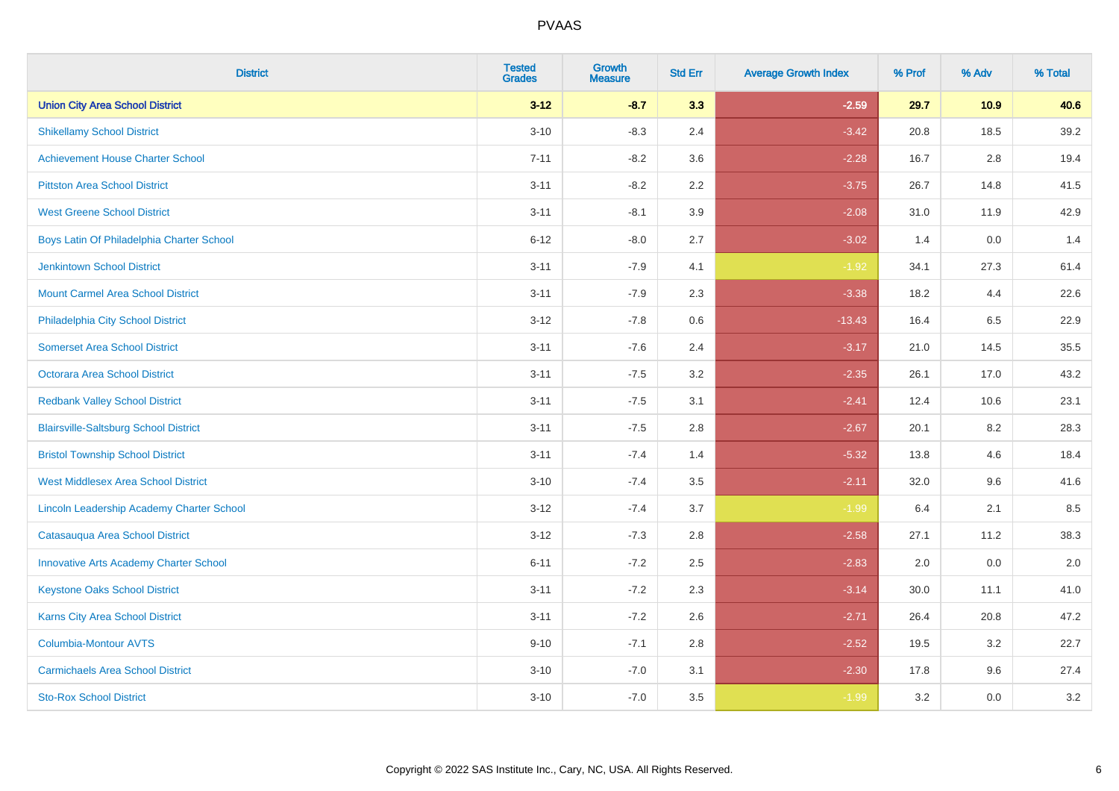| <b>District</b>                                  | <b>Tested</b><br><b>Grades</b> | <b>Growth</b><br><b>Measure</b> | <b>Std Err</b> | <b>Average Growth Index</b> | % Prof | % Adv   | % Total |
|--------------------------------------------------|--------------------------------|---------------------------------|----------------|-----------------------------|--------|---------|---------|
| <b>Union City Area School District</b>           | $3 - 12$                       | $-8.7$                          | 3.3            | $-2.59$                     | 29.7   | 10.9    | 40.6    |
| <b>Shikellamy School District</b>                | $3 - 10$                       | $-8.3$                          | 2.4            | $-3.42$                     | 20.8   | 18.5    | 39.2    |
| <b>Achievement House Charter School</b>          | $7 - 11$                       | $-8.2$                          | 3.6            | $-2.28$                     | 16.7   | 2.8     | 19.4    |
| <b>Pittston Area School District</b>             | $3 - 11$                       | $-8.2$                          | 2.2            | $-3.75$                     | 26.7   | 14.8    | 41.5    |
| <b>West Greene School District</b>               | $3 - 11$                       | $-8.1$                          | 3.9            | $-2.08$                     | 31.0   | 11.9    | 42.9    |
| Boys Latin Of Philadelphia Charter School        | $6 - 12$                       | $-8.0$                          | 2.7            | $-3.02$                     | 1.4    | 0.0     | 1.4     |
| <b>Jenkintown School District</b>                | $3 - 11$                       | $-7.9$                          | 4.1            | $-1.92$                     | 34.1   | 27.3    | 61.4    |
| <b>Mount Carmel Area School District</b>         | $3 - 11$                       | $-7.9$                          | 2.3            | $-3.38$                     | 18.2   | 4.4     | 22.6    |
| Philadelphia City School District                | $3 - 12$                       | $-7.8$                          | 0.6            | $-13.43$                    | 16.4   | 6.5     | 22.9    |
| <b>Somerset Area School District</b>             | $3 - 11$                       | $-7.6$                          | 2.4            | $-3.17$                     | 21.0   | 14.5    | 35.5    |
| <b>Octorara Area School District</b>             | $3 - 11$                       | $-7.5$                          | 3.2            | $-2.35$                     | 26.1   | 17.0    | 43.2    |
| <b>Redbank Valley School District</b>            | $3 - 11$                       | $-7.5$                          | 3.1            | $-2.41$                     | 12.4   | 10.6    | 23.1    |
| <b>Blairsville-Saltsburg School District</b>     | $3 - 11$                       | $-7.5$                          | 2.8            | $-2.67$                     | 20.1   | $8.2\,$ | 28.3    |
| <b>Bristol Township School District</b>          | $3 - 11$                       | $-7.4$                          | 1.4            | $-5.32$                     | 13.8   | 4.6     | 18.4    |
| <b>West Middlesex Area School District</b>       | $3 - 10$                       | $-7.4$                          | 3.5            | $-2.11$                     | 32.0   | 9.6     | 41.6    |
| <b>Lincoln Leadership Academy Charter School</b> | $3 - 12$                       | $-7.4$                          | 3.7            | $-1.99$                     | 6.4    | 2.1     | 8.5     |
| Catasauqua Area School District                  | $3 - 12$                       | $-7.3$                          | 2.8            | $-2.58$                     | 27.1   | 11.2    | 38.3    |
| <b>Innovative Arts Academy Charter School</b>    | $6 - 11$                       | $-7.2$                          | 2.5            | $-2.83$                     | 2.0    | 0.0     | 2.0     |
| <b>Keystone Oaks School District</b>             | $3 - 11$                       | $-7.2$                          | 2.3            | $-3.14$                     | 30.0   | 11.1    | 41.0    |
| <b>Karns City Area School District</b>           | $3 - 11$                       | $-7.2$                          | 2.6            | $-2.71$                     | 26.4   | 20.8    | 47.2    |
| <b>Columbia-Montour AVTS</b>                     | $9 - 10$                       | $-7.1$                          | 2.8            | $-2.52$                     | 19.5   | 3.2     | 22.7    |
| <b>Carmichaels Area School District</b>          | $3 - 10$                       | $-7.0$                          | 3.1            | $-2.30$                     | 17.8   | 9.6     | 27.4    |
| <b>Sto-Rox School District</b>                   | $3 - 10$                       | $-7.0$                          | 3.5            | $-1.99$                     | 3.2    | 0.0     | 3.2     |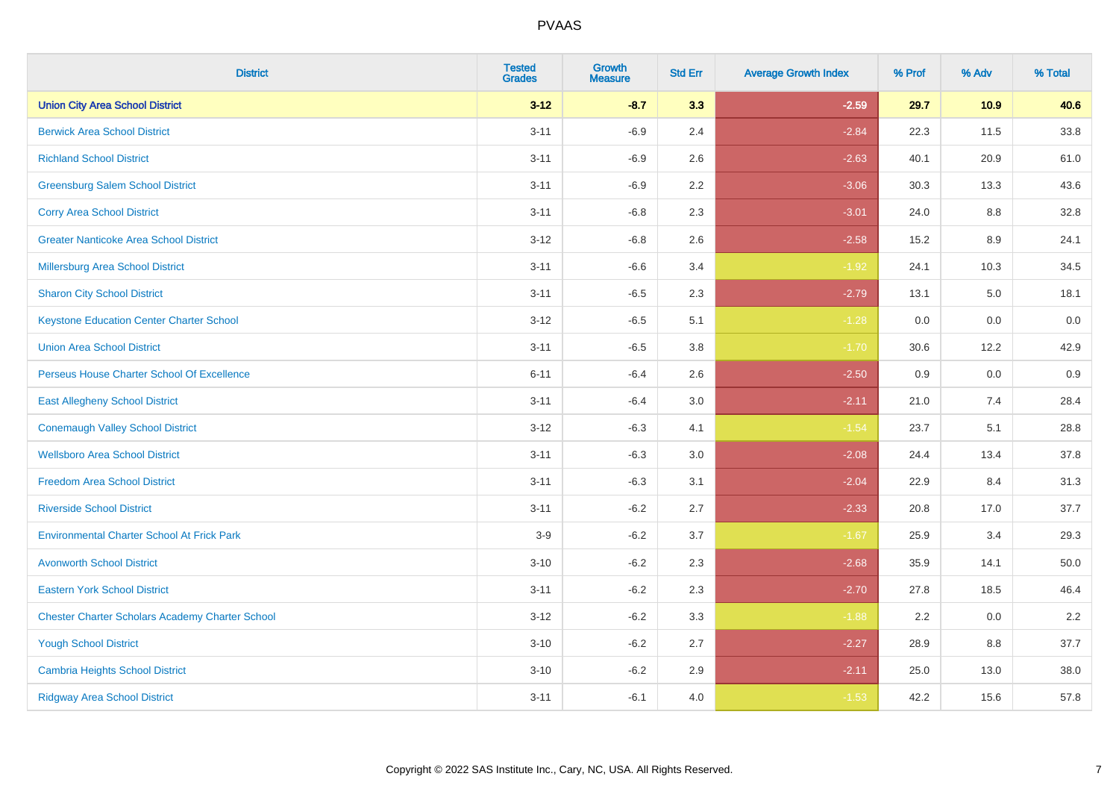| <b>District</b>                                        | <b>Tested</b><br><b>Grades</b> | <b>Growth</b><br><b>Measure</b> | <b>Std Err</b> | <b>Average Growth Index</b> | % Prof | % Adv | % Total |
|--------------------------------------------------------|--------------------------------|---------------------------------|----------------|-----------------------------|--------|-------|---------|
| <b>Union City Area School District</b>                 | $3 - 12$                       | $-8.7$                          | 3.3            | $-2.59$                     | 29.7   | 10.9  | 40.6    |
| <b>Berwick Area School District</b>                    | $3 - 11$                       | $-6.9$                          | 2.4            | $-2.84$                     | 22.3   | 11.5  | 33.8    |
| <b>Richland School District</b>                        | $3 - 11$                       | $-6.9$                          | 2.6            | $-2.63$                     | 40.1   | 20.9  | 61.0    |
| <b>Greensburg Salem School District</b>                | $3 - 11$                       | $-6.9$                          | 2.2            | $-3.06$                     | 30.3   | 13.3  | 43.6    |
| <b>Corry Area School District</b>                      | $3 - 11$                       | $-6.8$                          | 2.3            | $-3.01$                     | 24.0   | 8.8   | 32.8    |
| <b>Greater Nanticoke Area School District</b>          | $3 - 12$                       | $-6.8$                          | 2.6            | $-2.58$                     | 15.2   | 8.9   | 24.1    |
| <b>Millersburg Area School District</b>                | $3 - 11$                       | $-6.6$                          | 3.4            | $-1.92$                     | 24.1   | 10.3  | 34.5    |
| <b>Sharon City School District</b>                     | $3 - 11$                       | $-6.5$                          | 2.3            | $-2.79$                     | 13.1   | 5.0   | 18.1    |
| <b>Keystone Education Center Charter School</b>        | $3 - 12$                       | $-6.5$                          | 5.1            | $-1.28$                     | 0.0    | 0.0   | 0.0     |
| <b>Union Area School District</b>                      | $3 - 11$                       | $-6.5$                          | 3.8            | $-1.70$                     | 30.6   | 12.2  | 42.9    |
| Perseus House Charter School Of Excellence             | $6 - 11$                       | $-6.4$                          | 2.6            | $-2.50$                     | 0.9    | 0.0   | 0.9     |
| <b>East Allegheny School District</b>                  | $3 - 11$                       | $-6.4$                          | 3.0            | $-2.11$                     | 21.0   | 7.4   | 28.4    |
| <b>Conemaugh Valley School District</b>                | $3 - 12$                       | $-6.3$                          | 4.1            | $-1.54$                     | 23.7   | 5.1   | 28.8    |
| <b>Wellsboro Area School District</b>                  | $3 - 11$                       | $-6.3$                          | 3.0            | $-2.08$                     | 24.4   | 13.4  | 37.8    |
| <b>Freedom Area School District</b>                    | $3 - 11$                       | $-6.3$                          | 3.1            | $-2.04$                     | 22.9   | 8.4   | 31.3    |
| <b>Riverside School District</b>                       | $3 - 11$                       | $-6.2$                          | 2.7            | $-2.33$                     | 20.8   | 17.0  | 37.7    |
| <b>Environmental Charter School At Frick Park</b>      | $3-9$                          | $-6.2$                          | 3.7            | $-1.67$                     | 25.9   | 3.4   | 29.3    |
| <b>Avonworth School District</b>                       | $3 - 10$                       | $-6.2$                          | 2.3            | $-2.68$                     | 35.9   | 14.1  | 50.0    |
| <b>Eastern York School District</b>                    | $3 - 11$                       | $-6.2$                          | 2.3            | $-2.70$                     | 27.8   | 18.5  | 46.4    |
| <b>Chester Charter Scholars Academy Charter School</b> | $3-12$                         | $-6.2$                          | 3.3            | $-1.88$                     | 2.2    | 0.0   | 2.2     |
| <b>Yough School District</b>                           | $3 - 10$                       | $-6.2$                          | 2.7            | $-2.27$                     | 28.9   | 8.8   | 37.7    |
| <b>Cambria Heights School District</b>                 | $3 - 10$                       | $-6.2$                          | 2.9            | $-2.11$                     | 25.0   | 13.0  | 38.0    |
| <b>Ridgway Area School District</b>                    | $3 - 11$                       | $-6.1$                          | 4.0            | $-1.53$                     | 42.2   | 15.6  | 57.8    |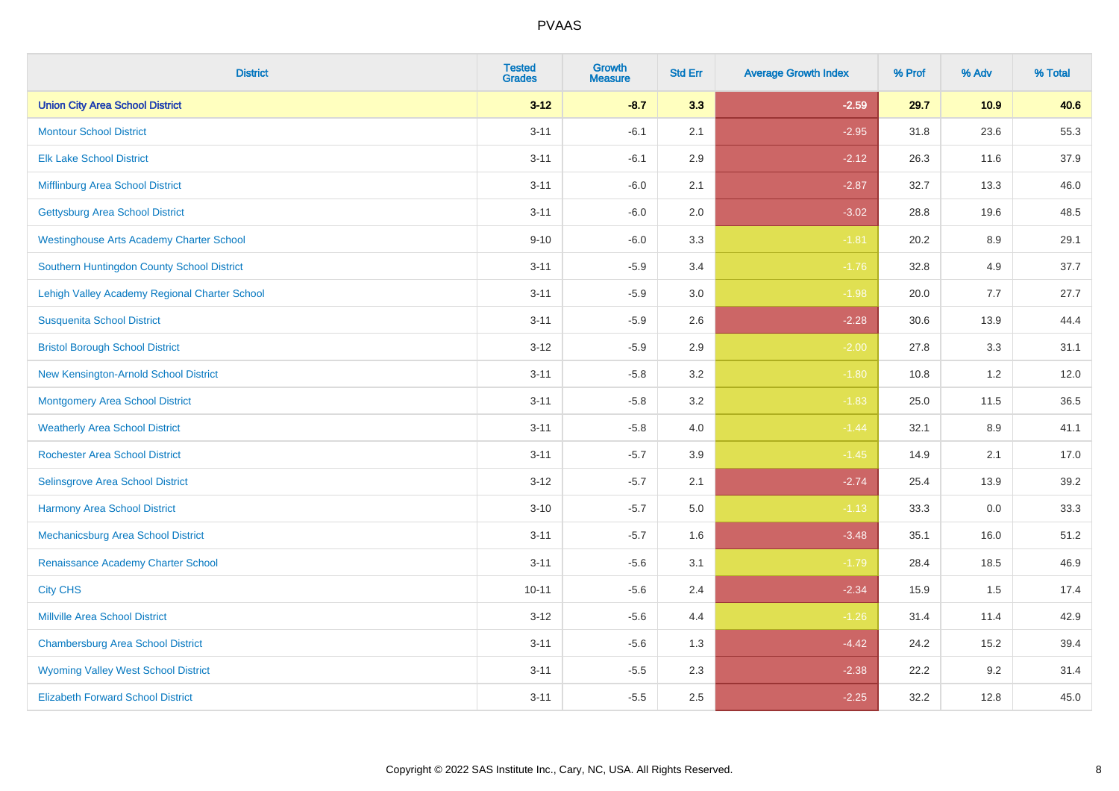| <b>District</b>                                 | <b>Tested</b><br><b>Grades</b> | <b>Growth</b><br><b>Measure</b> | <b>Std Err</b> | <b>Average Growth Index</b> | % Prof | % Adv | % Total |
|-------------------------------------------------|--------------------------------|---------------------------------|----------------|-----------------------------|--------|-------|---------|
| <b>Union City Area School District</b>          | $3 - 12$                       | $-8.7$                          | 3.3            | $-2.59$                     | 29.7   | 10.9  | 40.6    |
| <b>Montour School District</b>                  | $3 - 11$                       | $-6.1$                          | 2.1            | $-2.95$                     | 31.8   | 23.6  | 55.3    |
| <b>Elk Lake School District</b>                 | $3 - 11$                       | $-6.1$                          | 2.9            | $-2.12$                     | 26.3   | 11.6  | 37.9    |
| Mifflinburg Area School District                | $3 - 11$                       | $-6.0$                          | 2.1            | $-2.87$                     | 32.7   | 13.3  | 46.0    |
| <b>Gettysburg Area School District</b>          | $3 - 11$                       | $-6.0$                          | 2.0            | $-3.02$                     | 28.8   | 19.6  | 48.5    |
| <b>Westinghouse Arts Academy Charter School</b> | $9 - 10$                       | $-6.0$                          | 3.3            | $-1.81$                     | 20.2   | 8.9   | 29.1    |
| Southern Huntingdon County School District      | $3 - 11$                       | $-5.9$                          | 3.4            | $-1.76$                     | 32.8   | 4.9   | 37.7    |
| Lehigh Valley Academy Regional Charter School   | $3 - 11$                       | $-5.9$                          | 3.0            | $-1.98$                     | 20.0   | 7.7   | 27.7    |
| <b>Susquenita School District</b>               | $3 - 11$                       | $-5.9$                          | 2.6            | $-2.28$                     | 30.6   | 13.9  | 44.4    |
| <b>Bristol Borough School District</b>          | $3 - 12$                       | $-5.9$                          | 2.9            | $-2.00$                     | 27.8   | 3.3   | 31.1    |
| New Kensington-Arnold School District           | $3 - 11$                       | $-5.8$                          | 3.2            | $-1.80$                     | 10.8   | 1.2   | 12.0    |
| <b>Montgomery Area School District</b>          | $3 - 11$                       | $-5.8$                          | 3.2            | $-1.83$                     | 25.0   | 11.5  | 36.5    |
| <b>Weatherly Area School District</b>           | $3 - 11$                       | $-5.8$                          | 4.0            | $-1.44$                     | 32.1   | 8.9   | 41.1    |
| <b>Rochester Area School District</b>           | $3 - 11$                       | $-5.7$                          | 3.9            | $-1.45$                     | 14.9   | 2.1   | 17.0    |
| <b>Selinsgrove Area School District</b>         | $3 - 12$                       | $-5.7$                          | 2.1            | $-2.74$                     | 25.4   | 13.9  | 39.2    |
| <b>Harmony Area School District</b>             | $3 - 10$                       | $-5.7$                          | 5.0            | $-1.13$                     | 33.3   | 0.0   | 33.3    |
| Mechanicsburg Area School District              | $3 - 11$                       | $-5.7$                          | 1.6            | $-3.48$                     | 35.1   | 16.0  | 51.2    |
| Renaissance Academy Charter School              | $3 - 11$                       | $-5.6$                          | 3.1            | $-1.79$                     | 28.4   | 18.5  | 46.9    |
| <b>City CHS</b>                                 | $10 - 11$                      | $-5.6$                          | 2.4            | $-2.34$                     | 15.9   | 1.5   | 17.4    |
| <b>Millville Area School District</b>           | $3-12$                         | $-5.6$                          | 4.4            | $-1.26$                     | 31.4   | 11.4  | 42.9    |
| <b>Chambersburg Area School District</b>        | $3 - 11$                       | $-5.6$                          | 1.3            | $-4.42$                     | 24.2   | 15.2  | 39.4    |
| <b>Wyoming Valley West School District</b>      | $3 - 11$                       | $-5.5$                          | 2.3            | $-2.38$                     | 22.2   | 9.2   | 31.4    |
| <b>Elizabeth Forward School District</b>        | $3 - 11$                       | $-5.5$                          | 2.5            | $-2.25$                     | 32.2   | 12.8  | 45.0    |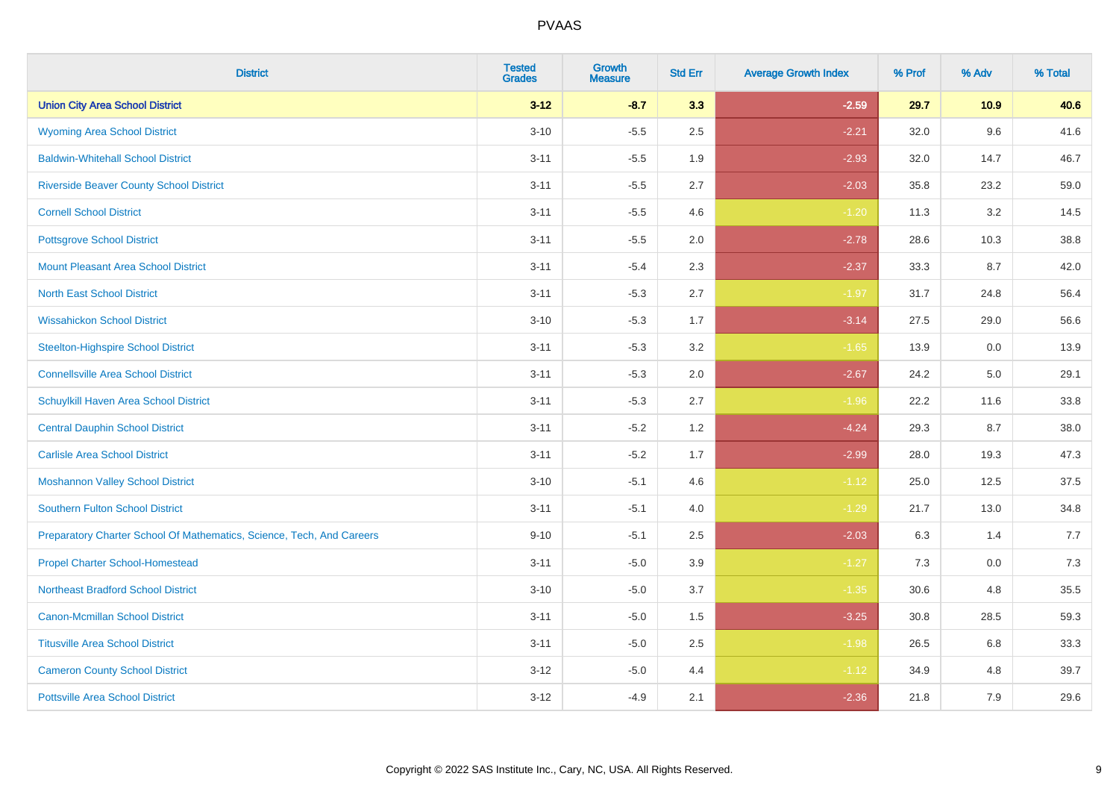| <b>District</b>                                                       | <b>Tested</b><br><b>Grades</b> | Growth<br><b>Measure</b> | <b>Std Err</b> | <b>Average Growth Index</b> | % Prof | % Adv | % Total |
|-----------------------------------------------------------------------|--------------------------------|--------------------------|----------------|-----------------------------|--------|-------|---------|
| <b>Union City Area School District</b>                                | $3 - 12$                       | $-8.7$                   | 3.3            | $-2.59$                     | 29.7   | 10.9  | 40.6    |
| <b>Wyoming Area School District</b>                                   | $3 - 10$                       | $-5.5$                   | 2.5            | $-2.21$                     | 32.0   | 9.6   | 41.6    |
| <b>Baldwin-Whitehall School District</b>                              | $3 - 11$                       | $-5.5$                   | 1.9            | $-2.93$                     | 32.0   | 14.7  | 46.7    |
| <b>Riverside Beaver County School District</b>                        | $3 - 11$                       | $-5.5$                   | 2.7            | $-2.03$                     | 35.8   | 23.2  | 59.0    |
| <b>Cornell School District</b>                                        | $3 - 11$                       | $-5.5$                   | 4.6            | $-1.20$                     | 11.3   | 3.2   | 14.5    |
| <b>Pottsgrove School District</b>                                     | $3 - 11$                       | $-5.5$                   | 2.0            | $-2.78$                     | 28.6   | 10.3  | 38.8    |
| <b>Mount Pleasant Area School District</b>                            | $3 - 11$                       | $-5.4$                   | 2.3            | $-2.37$                     | 33.3   | 8.7   | 42.0    |
| <b>North East School District</b>                                     | $3 - 11$                       | $-5.3$                   | 2.7            | $-1.97$                     | 31.7   | 24.8  | 56.4    |
| <b>Wissahickon School District</b>                                    | $3 - 10$                       | $-5.3$                   | 1.7            | $-3.14$                     | 27.5   | 29.0  | 56.6    |
| <b>Steelton-Highspire School District</b>                             | $3 - 11$                       | $-5.3$                   | 3.2            | $-1.65$                     | 13.9   | 0.0   | 13.9    |
| <b>Connellsville Area School District</b>                             | $3 - 11$                       | $-5.3$                   | 2.0            | $-2.67$                     | 24.2   | 5.0   | 29.1    |
| Schuylkill Haven Area School District                                 | $3 - 11$                       | $-5.3$                   | 2.7            | $-1.96$                     | 22.2   | 11.6  | 33.8    |
| <b>Central Dauphin School District</b>                                | $3 - 11$                       | $-5.2$                   | 1.2            | $-4.24$                     | 29.3   | 8.7   | 38.0    |
| <b>Carlisle Area School District</b>                                  | $3 - 11$                       | $-5.2$                   | 1.7            | $-2.99$                     | 28.0   | 19.3  | 47.3    |
| <b>Moshannon Valley School District</b>                               | $3 - 10$                       | $-5.1$                   | 4.6            | $-1.12$                     | 25.0   | 12.5  | 37.5    |
| <b>Southern Fulton School District</b>                                | $3 - 11$                       | $-5.1$                   | 4.0            | $-1.29$                     | 21.7   | 13.0  | 34.8    |
| Preparatory Charter School Of Mathematics, Science, Tech, And Careers | $9 - 10$                       | $-5.1$                   | 2.5            | $-2.03$                     | 6.3    | 1.4   | 7.7     |
| <b>Propel Charter School-Homestead</b>                                | $3 - 11$                       | $-5.0$                   | 3.9            | $-1.27$                     | 7.3    | 0.0   | 7.3     |
| <b>Northeast Bradford School District</b>                             | $3 - 10$                       | $-5.0$                   | 3.7            | $-1.35$                     | 30.6   | 4.8   | 35.5    |
| Canon-Mcmillan School District                                        | $3 - 11$                       | $-5.0$                   | 1.5            | $-3.25$                     | 30.8   | 28.5  | 59.3    |
| <b>Titusville Area School District</b>                                | $3 - 11$                       | $-5.0$                   | 2.5            | $-1.98$                     | 26.5   | 6.8   | 33.3    |
| <b>Cameron County School District</b>                                 | $3 - 12$                       | $-5.0$                   | 4.4            | $-1.12$                     | 34.9   | 4.8   | 39.7    |
| <b>Pottsville Area School District</b>                                | $3-12$                         | $-4.9$                   | 2.1            | $-2.36$                     | 21.8   | 7.9   | 29.6    |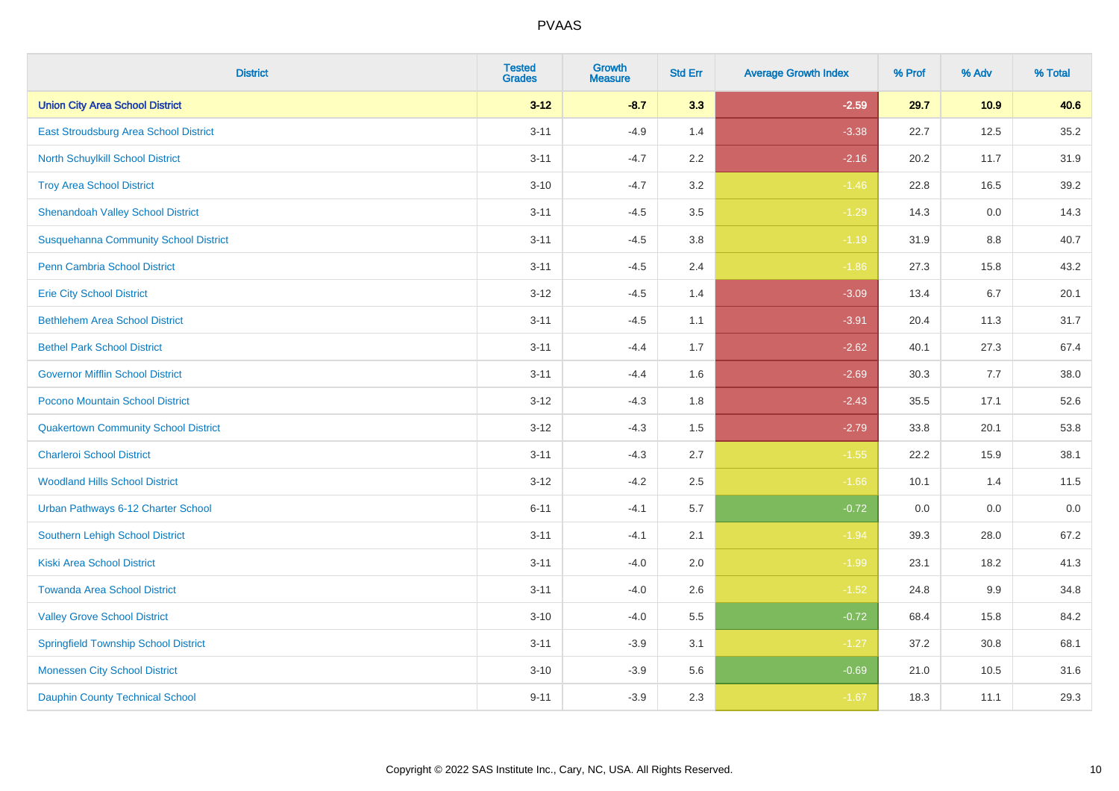| <b>District</b>                              | <b>Tested</b><br><b>Grades</b> | <b>Growth</b><br><b>Measure</b> | <b>Std Err</b> | <b>Average Growth Index</b> | % Prof | % Adv   | % Total |
|----------------------------------------------|--------------------------------|---------------------------------|----------------|-----------------------------|--------|---------|---------|
| <b>Union City Area School District</b>       | $3 - 12$                       | $-8.7$                          | 3.3            | $-2.59$                     | 29.7   | 10.9    | 40.6    |
| East Stroudsburg Area School District        | $3 - 11$                       | $-4.9$                          | 1.4            | $-3.38$                     | 22.7   | 12.5    | 35.2    |
| North Schuylkill School District             | $3 - 11$                       | $-4.7$                          | 2.2            | $-2.16$                     | 20.2   | 11.7    | 31.9    |
| <b>Troy Area School District</b>             | $3 - 10$                       | $-4.7$                          | 3.2            | $-1.46$                     | 22.8   | 16.5    | 39.2    |
| <b>Shenandoah Valley School District</b>     | $3 - 11$                       | $-4.5$                          | 3.5            | $-1.29$                     | 14.3   | 0.0     | 14.3    |
| <b>Susquehanna Community School District</b> | $3 - 11$                       | $-4.5$                          | 3.8            | $-1.19$                     | 31.9   | 8.8     | 40.7    |
| Penn Cambria School District                 | $3 - 11$                       | $-4.5$                          | 2.4            | $-1.86$                     | 27.3   | 15.8    | 43.2    |
| <b>Erie City School District</b>             | $3 - 12$                       | $-4.5$                          | 1.4            | $-3.09$                     | 13.4   | 6.7     | 20.1    |
| <b>Bethlehem Area School District</b>        | $3 - 11$                       | $-4.5$                          | 1.1            | $-3.91$                     | 20.4   | 11.3    | 31.7    |
| <b>Bethel Park School District</b>           | $3 - 11$                       | $-4.4$                          | 1.7            | $-2.62$                     | 40.1   | 27.3    | 67.4    |
| <b>Governor Mifflin School District</b>      | $3 - 11$                       | $-4.4$                          | 1.6            | $-2.69$                     | 30.3   | 7.7     | 38.0    |
| Pocono Mountain School District              | $3 - 12$                       | $-4.3$                          | 1.8            | $-2.43$                     | 35.5   | 17.1    | 52.6    |
| <b>Quakertown Community School District</b>  | $3 - 12$                       | $-4.3$                          | 1.5            | $-2.79$                     | 33.8   | 20.1    | 53.8    |
| <b>Charleroi School District</b>             | $3 - 11$                       | $-4.3$                          | 2.7            | $-1.55$                     | 22.2   | 15.9    | 38.1    |
| <b>Woodland Hills School District</b>        | $3 - 12$                       | $-4.2$                          | 2.5            | $-1.66$                     | 10.1   | 1.4     | 11.5    |
| Urban Pathways 6-12 Charter School           | $6 - 11$                       | $-4.1$                          | 5.7            | $-0.72$                     | 0.0    | $0.0\,$ | $0.0\,$ |
| <b>Southern Lehigh School District</b>       | $3 - 11$                       | $-4.1$                          | 2.1            | $-1.94$                     | 39.3   | 28.0    | 67.2    |
| <b>Kiski Area School District</b>            | $3 - 11$                       | $-4.0$                          | 2.0            | $-1.99$                     | 23.1   | 18.2    | 41.3    |
| <b>Towanda Area School District</b>          | $3 - 11$                       | $-4.0$                          | 2.6            | $-1.52$                     | 24.8   | 9.9     | 34.8    |
| <b>Valley Grove School District</b>          | $3 - 10$                       | $-4.0$                          | 5.5            | $-0.72$                     | 68.4   | 15.8    | 84.2    |
| <b>Springfield Township School District</b>  | $3 - 11$                       | $-3.9$                          | 3.1            | $-1.27$                     | 37.2   | 30.8    | 68.1    |
| <b>Monessen City School District</b>         | $3 - 10$                       | $-3.9$                          | 5.6            | $-0.69$                     | 21.0   | 10.5    | 31.6    |
| <b>Dauphin County Technical School</b>       | $9 - 11$                       | $-3.9$                          | 2.3            | $-1.67$                     | 18.3   | 11.1    | 29.3    |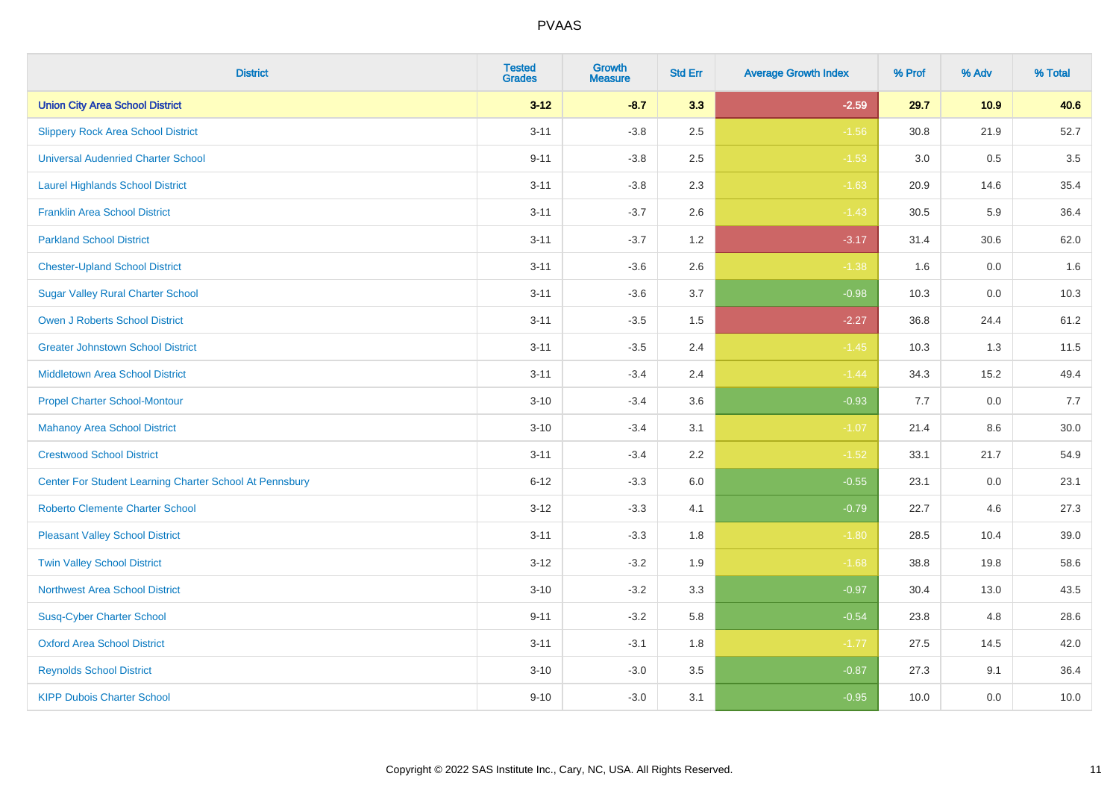| <b>District</b>                                         | <b>Tested</b><br><b>Grades</b> | <b>Growth</b><br><b>Measure</b> | <b>Std Err</b> | <b>Average Growth Index</b> | % Prof | % Adv | % Total |
|---------------------------------------------------------|--------------------------------|---------------------------------|----------------|-----------------------------|--------|-------|---------|
| <b>Union City Area School District</b>                  | $3 - 12$                       | $-8.7$                          | 3.3            | $-2.59$                     | 29.7   | 10.9  | 40.6    |
| <b>Slippery Rock Area School District</b>               | $3 - 11$                       | $-3.8$                          | 2.5            | $-1.56$                     | 30.8   | 21.9  | 52.7    |
| <b>Universal Audenried Charter School</b>               | $9 - 11$                       | $-3.8$                          | 2.5            | $-1.53$                     | 3.0    | 0.5   | 3.5     |
| <b>Laurel Highlands School District</b>                 | $3 - 11$                       | $-3.8$                          | 2.3            | $-1.63$                     | 20.9   | 14.6  | 35.4    |
| <b>Franklin Area School District</b>                    | $3 - 11$                       | $-3.7$                          | 2.6            | $-1.43$                     | 30.5   | 5.9   | 36.4    |
| <b>Parkland School District</b>                         | $3 - 11$                       | $-3.7$                          | 1.2            | $-3.17$                     | 31.4   | 30.6  | 62.0    |
| <b>Chester-Upland School District</b>                   | $3 - 11$                       | $-3.6$                          | 2.6            | $-1.38$                     | 1.6    | 0.0   | 1.6     |
| <b>Sugar Valley Rural Charter School</b>                | $3 - 11$                       | $-3.6$                          | 3.7            | $-0.98$                     | 10.3   | 0.0   | 10.3    |
| <b>Owen J Roberts School District</b>                   | $3 - 11$                       | $-3.5$                          | 1.5            | $-2.27$                     | 36.8   | 24.4  | 61.2    |
| <b>Greater Johnstown School District</b>                | $3 - 11$                       | $-3.5$                          | 2.4            | $-1.45$                     | 10.3   | 1.3   | 11.5    |
| <b>Middletown Area School District</b>                  | $3 - 11$                       | $-3.4$                          | 2.4            | $-1.44$                     | 34.3   | 15.2  | 49.4    |
| <b>Propel Charter School-Montour</b>                    | $3 - 10$                       | $-3.4$                          | 3.6            | $-0.93$                     | 7.7    | 0.0   | 7.7     |
| <b>Mahanoy Area School District</b>                     | $3 - 10$                       | $-3.4$                          | 3.1            | $-1.07$                     | 21.4   | 8.6   | 30.0    |
| <b>Crestwood School District</b>                        | $3 - 11$                       | $-3.4$                          | 2.2            | $-1.52$                     | 33.1   | 21.7  | 54.9    |
| Center For Student Learning Charter School At Pennsbury | $6 - 12$                       | $-3.3$                          | 6.0            | $-0.55$                     | 23.1   | 0.0   | 23.1    |
| <b>Roberto Clemente Charter School</b>                  | $3 - 12$                       | $-3.3$                          | 4.1            | $-0.79$                     | 22.7   | 4.6   | 27.3    |
| <b>Pleasant Valley School District</b>                  | $3 - 11$                       | $-3.3$                          | 1.8            | $-1.80$                     | 28.5   | 10.4  | 39.0    |
| <b>Twin Valley School District</b>                      | $3 - 12$                       | $-3.2$                          | 1.9            | $-1.68$                     | 38.8   | 19.8  | 58.6    |
| <b>Northwest Area School District</b>                   | $3 - 10$                       | $-3.2$                          | 3.3            | $-0.97$                     | 30.4   | 13.0  | 43.5    |
| <b>Susq-Cyber Charter School</b>                        | $9 - 11$                       | $-3.2$                          | 5.8            | $-0.54$                     | 23.8   | 4.8   | 28.6    |
| <b>Oxford Area School District</b>                      | $3 - 11$                       | $-3.1$                          | 1.8            | $-1.77$                     | 27.5   | 14.5  | 42.0    |
| <b>Reynolds School District</b>                         | $3 - 10$                       | $-3.0$                          | 3.5            | $-0.87$                     | 27.3   | 9.1   | 36.4    |
| <b>KIPP Dubois Charter School</b>                       | $9 - 10$                       | $-3.0$                          | 3.1            | $-0.95$                     | 10.0   | 0.0   | 10.0    |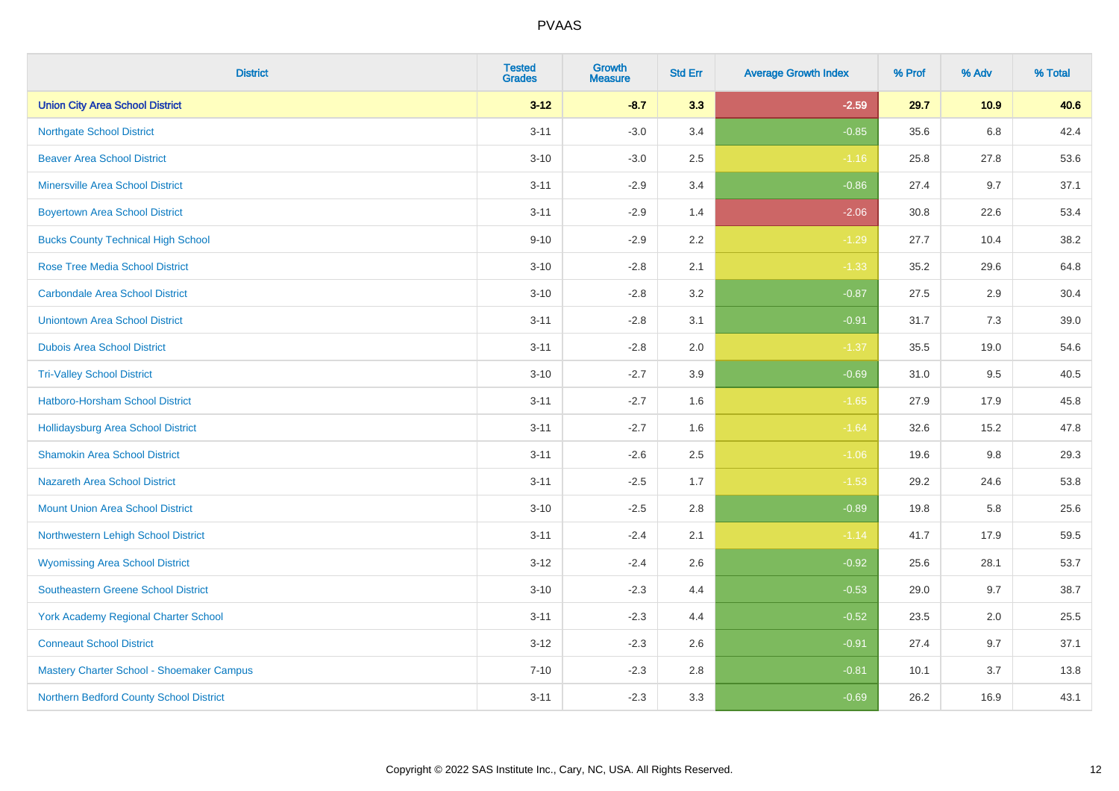| <b>District</b>                             | <b>Tested</b><br><b>Grades</b> | <b>Growth</b><br><b>Measure</b> | <b>Std Err</b> | <b>Average Growth Index</b> | % Prof | % Adv   | % Total |
|---------------------------------------------|--------------------------------|---------------------------------|----------------|-----------------------------|--------|---------|---------|
| <b>Union City Area School District</b>      | $3 - 12$                       | $-8.7$                          | 3.3            | $-2.59$                     | 29.7   | 10.9    | 40.6    |
| <b>Northgate School District</b>            | $3 - 11$                       | $-3.0$                          | 3.4            | $-0.85$                     | 35.6   | $6.8\,$ | 42.4    |
| <b>Beaver Area School District</b>          | $3 - 10$                       | $-3.0$                          | 2.5            | $-1.16$                     | 25.8   | 27.8    | 53.6    |
| <b>Minersville Area School District</b>     | $3 - 11$                       | $-2.9$                          | 3.4            | $-0.86$                     | 27.4   | 9.7     | 37.1    |
| <b>Boyertown Area School District</b>       | $3 - 11$                       | $-2.9$                          | 1.4            | $-2.06$                     | 30.8   | 22.6    | 53.4    |
| <b>Bucks County Technical High School</b>   | $9 - 10$                       | $-2.9$                          | 2.2            | $-1.29$                     | 27.7   | 10.4    | 38.2    |
| <b>Rose Tree Media School District</b>      | $3 - 10$                       | $-2.8$                          | 2.1            | $-1.33$                     | 35.2   | 29.6    | 64.8    |
| <b>Carbondale Area School District</b>      | $3 - 10$                       | $-2.8$                          | 3.2            | $-0.87$                     | 27.5   | 2.9     | 30.4    |
| <b>Uniontown Area School District</b>       | $3 - 11$                       | $-2.8$                          | 3.1            | $-0.91$                     | 31.7   | 7.3     | 39.0    |
| <b>Dubois Area School District</b>          | $3 - 11$                       | $-2.8$                          | 2.0            | $-1.37$                     | 35.5   | 19.0    | 54.6    |
| <b>Tri-Valley School District</b>           | $3 - 10$                       | $-2.7$                          | 3.9            | $-0.69$                     | 31.0   | 9.5     | 40.5    |
| Hatboro-Horsham School District             | $3 - 11$                       | $-2.7$                          | 1.6            | $-1.65$                     | 27.9   | 17.9    | 45.8    |
| Hollidaysburg Area School District          | $3 - 11$                       | $-2.7$                          | 1.6            | $-1.64$                     | 32.6   | 15.2    | 47.8    |
| <b>Shamokin Area School District</b>        | $3 - 11$                       | $-2.6$                          | 2.5            | $-1.06$                     | 19.6   | 9.8     | 29.3    |
| <b>Nazareth Area School District</b>        | $3 - 11$                       | $-2.5$                          | 1.7            | $-1.53$                     | 29.2   | 24.6    | 53.8    |
| <b>Mount Union Area School District</b>     | $3 - 10$                       | $-2.5$                          | $2.8\,$        | $-0.89$                     | 19.8   | 5.8     | 25.6    |
| Northwestern Lehigh School District         | $3 - 11$                       | $-2.4$                          | 2.1            | $-1.14$                     | 41.7   | 17.9    | 59.5    |
| <b>Wyomissing Area School District</b>      | $3 - 12$                       | $-2.4$                          | 2.6            | $-0.92$                     | 25.6   | 28.1    | 53.7    |
| <b>Southeastern Greene School District</b>  | $3 - 10$                       | $-2.3$                          | 4.4            | $-0.53$                     | 29.0   | 9.7     | 38.7    |
| <b>York Academy Regional Charter School</b> | $3 - 11$                       | $-2.3$                          | 4.4            | $-0.52$                     | 23.5   | 2.0     | 25.5    |
| <b>Conneaut School District</b>             | $3 - 12$                       | $-2.3$                          | 2.6            | $-0.91$                     | 27.4   | 9.7     | 37.1    |
| Mastery Charter School - Shoemaker Campus   | $7 - 10$                       | $-2.3$                          | $2.8\,$        | $-0.81$                     | 10.1   | 3.7     | 13.8    |
| Northern Bedford County School District     | $3 - 11$                       | $-2.3$                          | 3.3            | $-0.69$                     | 26.2   | 16.9    | 43.1    |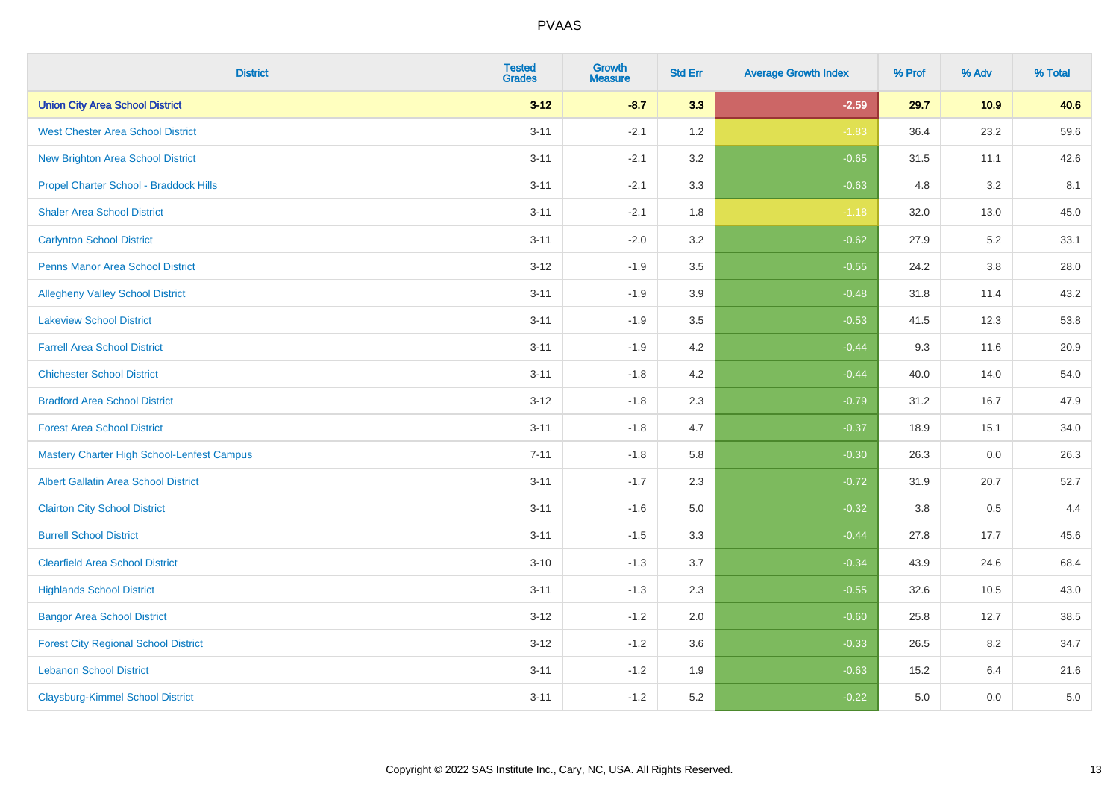| <b>District</b>                                   | <b>Tested</b><br><b>Grades</b> | <b>Growth</b><br><b>Measure</b> | <b>Std Err</b> | <b>Average Growth Index</b> | % Prof | % Adv   | % Total |
|---------------------------------------------------|--------------------------------|---------------------------------|----------------|-----------------------------|--------|---------|---------|
| <b>Union City Area School District</b>            | $3 - 12$                       | $-8.7$                          | 3.3            | $-2.59$                     | 29.7   | 10.9    | 40.6    |
| <b>West Chester Area School District</b>          | $3 - 11$                       | $-2.1$                          | 1.2            | $-1.83$                     | 36.4   | 23.2    | 59.6    |
| New Brighton Area School District                 | $3 - 11$                       | $-2.1$                          | 3.2            | $-0.65$                     | 31.5   | 11.1    | 42.6    |
| Propel Charter School - Braddock Hills            | $3 - 11$                       | $-2.1$                          | 3.3            | $-0.63$                     | 4.8    | 3.2     | 8.1     |
| <b>Shaler Area School District</b>                | $3 - 11$                       | $-2.1$                          | 1.8            | $-1.18$                     | 32.0   | 13.0    | 45.0    |
| <b>Carlynton School District</b>                  | $3 - 11$                       | $-2.0$                          | 3.2            | $-0.62$                     | 27.9   | 5.2     | 33.1    |
| Penns Manor Area School District                  | $3 - 12$                       | $-1.9$                          | 3.5            | $-0.55$                     | 24.2   | $3.8\,$ | 28.0    |
| <b>Allegheny Valley School District</b>           | $3 - 11$                       | $-1.9$                          | 3.9            | $-0.48$                     | 31.8   | 11.4    | 43.2    |
| <b>Lakeview School District</b>                   | $3 - 11$                       | $-1.9$                          | 3.5            | $-0.53$                     | 41.5   | 12.3    | 53.8    |
| <b>Farrell Area School District</b>               | $3 - 11$                       | $-1.9$                          | 4.2            | $-0.44$                     | 9.3    | 11.6    | 20.9    |
| <b>Chichester School District</b>                 | $3 - 11$                       | $-1.8$                          | 4.2            | $-0.44$                     | 40.0   | 14.0    | 54.0    |
| <b>Bradford Area School District</b>              | $3 - 12$                       | $-1.8$                          | 2.3            | $-0.79$                     | 31.2   | 16.7    | 47.9    |
| <b>Forest Area School District</b>                | $3 - 11$                       | $-1.8$                          | 4.7            | $-0.37$                     | 18.9   | 15.1    | 34.0    |
| <b>Mastery Charter High School-Lenfest Campus</b> | $7 - 11$                       | $-1.8$                          | 5.8            | $-0.30$                     | 26.3   | 0.0     | 26.3    |
| <b>Albert Gallatin Area School District</b>       | $3 - 11$                       | $-1.7$                          | 2.3            | $-0.72$                     | 31.9   | 20.7    | 52.7    |
| <b>Clairton City School District</b>              | $3 - 11$                       | $-1.6$                          | 5.0            | $-0.32$                     | 3.8    | 0.5     | 4.4     |
| <b>Burrell School District</b>                    | $3 - 11$                       | $-1.5$                          | 3.3            | $-0.44$                     | 27.8   | 17.7    | 45.6    |
| <b>Clearfield Area School District</b>            | $3 - 10$                       | $-1.3$                          | 3.7            | $-0.34$                     | 43.9   | 24.6    | 68.4    |
| <b>Highlands School District</b>                  | $3 - 11$                       | $-1.3$                          | 2.3            | $-0.55$                     | 32.6   | 10.5    | 43.0    |
| <b>Bangor Area School District</b>                | $3 - 12$                       | $-1.2$                          | 2.0            | $-0.60$                     | 25.8   | 12.7    | 38.5    |
| <b>Forest City Regional School District</b>       | $3 - 12$                       | $-1.2$                          | 3.6            | $-0.33$                     | 26.5   | 8.2     | 34.7    |
| <b>Lebanon School District</b>                    | $3 - 11$                       | $-1.2$                          | 1.9            | $-0.63$                     | 15.2   | 6.4     | 21.6    |
| <b>Claysburg-Kimmel School District</b>           | $3 - 11$                       | $-1.2$                          | 5.2            | $-0.22$                     | 5.0    | 0.0     | $5.0\,$ |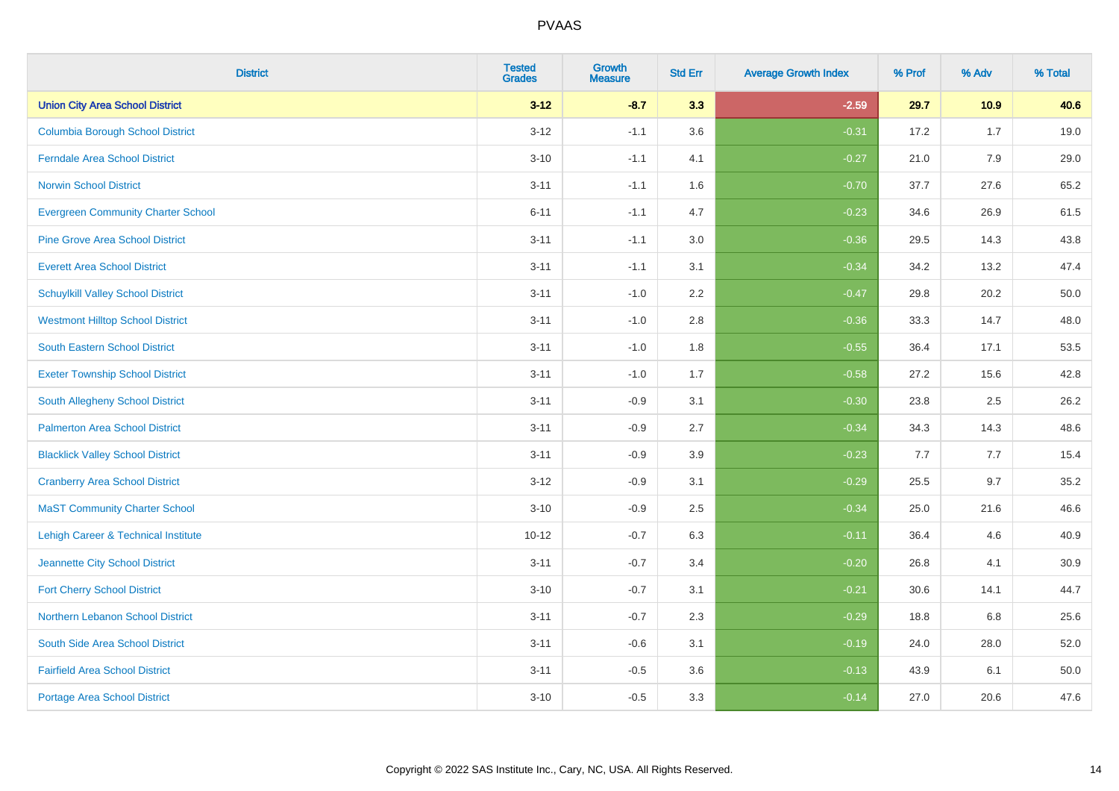| <b>District</b>                           | <b>Tested</b><br><b>Grades</b> | Growth<br><b>Measure</b> | <b>Std Err</b> | <b>Average Growth Index</b> | % Prof | % Adv | % Total |
|-------------------------------------------|--------------------------------|--------------------------|----------------|-----------------------------|--------|-------|---------|
| <b>Union City Area School District</b>    | $3 - 12$                       | $-8.7$                   | 3.3            | $-2.59$                     | 29.7   | 10.9  | 40.6    |
| <b>Columbia Borough School District</b>   | $3 - 12$                       | $-1.1$                   | 3.6            | $-0.31$                     | 17.2   | 1.7   | 19.0    |
| <b>Ferndale Area School District</b>      | $3 - 10$                       | $-1.1$                   | 4.1            | $-0.27$                     | 21.0   | 7.9   | 29.0    |
| <b>Norwin School District</b>             | $3 - 11$                       | $-1.1$                   | 1.6            | $-0.70$                     | 37.7   | 27.6  | 65.2    |
| <b>Evergreen Community Charter School</b> | $6 - 11$                       | $-1.1$                   | 4.7            | $-0.23$                     | 34.6   | 26.9  | 61.5    |
| <b>Pine Grove Area School District</b>    | $3 - 11$                       | $-1.1$                   | 3.0            | $-0.36$                     | 29.5   | 14.3  | 43.8    |
| <b>Everett Area School District</b>       | $3 - 11$                       | $-1.1$                   | 3.1            | $-0.34$                     | 34.2   | 13.2  | 47.4    |
| <b>Schuylkill Valley School District</b>  | $3 - 11$                       | $-1.0$                   | 2.2            | $-0.47$                     | 29.8   | 20.2  | 50.0    |
| <b>Westmont Hilltop School District</b>   | $3 - 11$                       | $-1.0$                   | 2.8            | $-0.36$                     | 33.3   | 14.7  | 48.0    |
| South Eastern School District             | $3 - 11$                       | $-1.0$                   | 1.8            | $-0.55$                     | 36.4   | 17.1  | 53.5    |
| <b>Exeter Township School District</b>    | $3 - 11$                       | $-1.0$                   | 1.7            | $-0.58$                     | 27.2   | 15.6  | 42.8    |
| South Allegheny School District           | $3 - 11$                       | $-0.9$                   | 3.1            | $-0.30$                     | 23.8   | 2.5   | 26.2    |
| <b>Palmerton Area School District</b>     | $3 - 11$                       | $-0.9$                   | 2.7            | $-0.34$                     | 34.3   | 14.3  | 48.6    |
| <b>Blacklick Valley School District</b>   | $3 - 11$                       | $-0.9$                   | 3.9            | $-0.23$                     | 7.7    | 7.7   | 15.4    |
| <b>Cranberry Area School District</b>     | $3 - 12$                       | $-0.9$                   | 3.1            | $-0.29$                     | 25.5   | 9.7   | 35.2    |
| <b>MaST Community Charter School</b>      | $3 - 10$                       | $-0.9$                   | 2.5            | $-0.34$                     | 25.0   | 21.6  | 46.6    |
| Lehigh Career & Technical Institute       | $10 - 12$                      | $-0.7$                   | 6.3            | $-0.11$                     | 36.4   | 4.6   | 40.9    |
| Jeannette City School District            | $3 - 11$                       | $-0.7$                   | 3.4            | $-0.20$                     | 26.8   | 4.1   | 30.9    |
| <b>Fort Cherry School District</b>        | $3 - 10$                       | $-0.7$                   | 3.1            | $-0.21$                     | 30.6   | 14.1  | 44.7    |
| Northern Lebanon School District          | $3 - 11$                       | $-0.7$                   | 2.3            | $-0.29$                     | 18.8   | 6.8   | 25.6    |
| South Side Area School District           | $3 - 11$                       | $-0.6$                   | 3.1            | $-0.19$                     | 24.0   | 28.0  | 52.0    |
| <b>Fairfield Area School District</b>     | $3 - 11$                       | $-0.5$                   | 3.6            | $-0.13$                     | 43.9   | 6.1   | 50.0    |
| <b>Portage Area School District</b>       | $3 - 10$                       | $-0.5$                   | 3.3            | $-0.14$                     | 27.0   | 20.6  | 47.6    |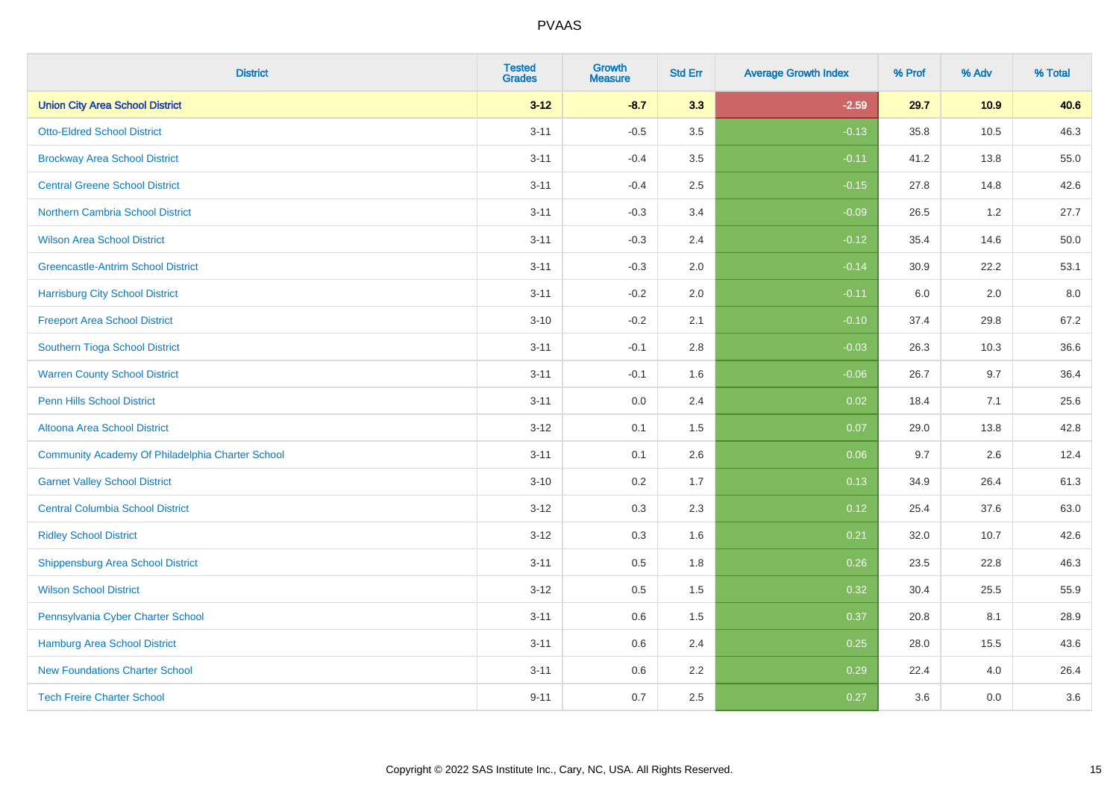| <b>District</b>                                  | <b>Tested</b><br><b>Grades</b> | <b>Growth</b><br><b>Measure</b> | <b>Std Err</b> | <b>Average Growth Index</b> | % Prof | % Adv | % Total |
|--------------------------------------------------|--------------------------------|---------------------------------|----------------|-----------------------------|--------|-------|---------|
| <b>Union City Area School District</b>           | $3 - 12$                       | $-8.7$                          | 3.3            | $-2.59$                     | 29.7   | 10.9  | 40.6    |
| <b>Otto-Eldred School District</b>               | $3 - 11$                       | $-0.5$                          | 3.5            | $-0.13$                     | 35.8   | 10.5  | 46.3    |
| <b>Brockway Area School District</b>             | $3 - 11$                       | $-0.4$                          | 3.5            | $-0.11$                     | 41.2   | 13.8  | 55.0    |
| <b>Central Greene School District</b>            | $3 - 11$                       | $-0.4$                          | 2.5            | $-0.15$                     | 27.8   | 14.8  | 42.6    |
| <b>Northern Cambria School District</b>          | $3 - 11$                       | $-0.3$                          | 3.4            | $-0.09$                     | 26.5   | 1.2   | 27.7    |
| <b>Wilson Area School District</b>               | $3 - 11$                       | $-0.3$                          | 2.4            | $-0.12$                     | 35.4   | 14.6  | 50.0    |
| <b>Greencastle-Antrim School District</b>        | $3 - 11$                       | $-0.3$                          | 2.0            | $-0.14$                     | 30.9   | 22.2  | 53.1    |
| <b>Harrisburg City School District</b>           | $3 - 11$                       | $-0.2$                          | 2.0            | $-0.11$                     | 6.0    | 2.0   | 8.0     |
| <b>Freeport Area School District</b>             | $3 - 10$                       | $-0.2$                          | 2.1            | $-0.10$                     | 37.4   | 29.8  | 67.2    |
| Southern Tioga School District                   | $3 - 11$                       | $-0.1$                          | 2.8            | $-0.03$                     | 26.3   | 10.3  | 36.6    |
| <b>Warren County School District</b>             | $3 - 11$                       | $-0.1$                          | 1.6            | $-0.06$                     | 26.7   | 9.7   | 36.4    |
| Penn Hills School District                       | $3 - 11$                       | 0.0                             | 2.4            | 0.02                        | 18.4   | 7.1   | 25.6    |
| Altoona Area School District                     | $3 - 12$                       | 0.1                             | 1.5            | 0.07                        | 29.0   | 13.8  | 42.8    |
| Community Academy Of Philadelphia Charter School | $3 - 11$                       | 0.1                             | 2.6            | 0.06                        | 9.7    | 2.6   | 12.4    |
| <b>Garnet Valley School District</b>             | $3 - 10$                       | 0.2                             | 1.7            | 0.13                        | 34.9   | 26.4  | 61.3    |
| <b>Central Columbia School District</b>          | $3 - 12$                       | $0.3\,$                         | 2.3            | 0.12                        | 25.4   | 37.6  | 63.0    |
| <b>Ridley School District</b>                    | $3 - 12$                       | 0.3                             | 1.6            | 0.21                        | 32.0   | 10.7  | 42.6    |
| <b>Shippensburg Area School District</b>         | $3 - 11$                       | 0.5                             | 1.8            | 0.26                        | 23.5   | 22.8  | 46.3    |
| <b>Wilson School District</b>                    | $3 - 12$                       | 0.5                             | 1.5            | 0.32                        | 30.4   | 25.5  | 55.9    |
| Pennsylvania Cyber Charter School                | $3 - 11$                       | 0.6                             | 1.5            | 0.37                        | 20.8   | 8.1   | 28.9    |
| <b>Hamburg Area School District</b>              | $3 - 11$                       | 0.6                             | 2.4            | 0.25                        | 28.0   | 15.5  | 43.6    |
| <b>New Foundations Charter School</b>            | $3 - 11$                       | 0.6                             | 2.2            | 0.29                        | 22.4   | 4.0   | 26.4    |
| <b>Tech Freire Charter School</b>                | $9 - 11$                       | 0.7                             | 2.5            | 0.27                        | 3.6    | 0.0   | 3.6     |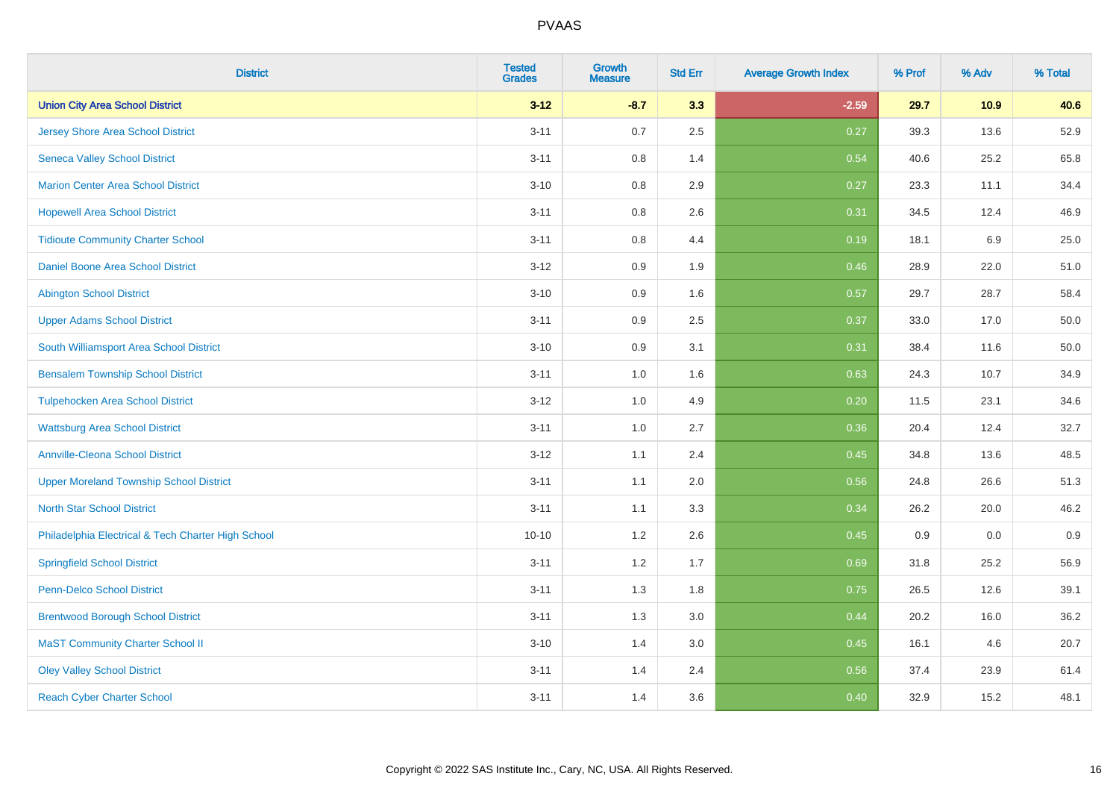| <b>District</b>                                    | <b>Tested</b><br><b>Grades</b> | <b>Growth</b><br><b>Measure</b> | <b>Std Err</b> | <b>Average Growth Index</b> | % Prof | % Adv | % Total |
|----------------------------------------------------|--------------------------------|---------------------------------|----------------|-----------------------------|--------|-------|---------|
| <b>Union City Area School District</b>             | $3 - 12$                       | $-8.7$                          | 3.3            | $-2.59$                     | 29.7   | 10.9  | 40.6    |
| <b>Jersey Shore Area School District</b>           | $3 - 11$                       | 0.7                             | 2.5            | 0.27                        | 39.3   | 13.6  | 52.9    |
| <b>Seneca Valley School District</b>               | $3 - 11$                       | 0.8                             | 1.4            | 0.54                        | 40.6   | 25.2  | 65.8    |
| <b>Marion Center Area School District</b>          | $3 - 10$                       | 0.8                             | 2.9            | 0.27                        | 23.3   | 11.1  | 34.4    |
| <b>Hopewell Area School District</b>               | $3 - 11$                       | 0.8                             | 2.6            | 0.31                        | 34.5   | 12.4  | 46.9    |
| <b>Tidioute Community Charter School</b>           | $3 - 11$                       | 0.8                             | 4.4            | 0.19                        | 18.1   | 6.9   | 25.0    |
| <b>Daniel Boone Area School District</b>           | $3 - 12$                       | $0.9\,$                         | 1.9            | 0.46                        | 28.9   | 22.0  | 51.0    |
| <b>Abington School District</b>                    | $3 - 10$                       | 0.9                             | 1.6            | 0.57                        | 29.7   | 28.7  | 58.4    |
| <b>Upper Adams School District</b>                 | $3 - 11$                       | 0.9                             | 2.5            | 0.37                        | 33.0   | 17.0  | 50.0    |
| South Williamsport Area School District            | $3 - 10$                       | 0.9                             | 3.1            | 0.31                        | 38.4   | 11.6  | 50.0    |
| <b>Bensalem Township School District</b>           | $3 - 11$                       | 1.0                             | 1.6            | 0.63                        | 24.3   | 10.7  | 34.9    |
| <b>Tulpehocken Area School District</b>            | $3 - 12$                       | 1.0                             | 4.9            | 0.20                        | 11.5   | 23.1  | 34.6    |
| <b>Wattsburg Area School District</b>              | $3 - 11$                       | 1.0                             | 2.7            | 0.36                        | 20.4   | 12.4  | 32.7    |
| <b>Annville-Cleona School District</b>             | $3 - 12$                       | 1.1                             | 2.4            | 0.45                        | 34.8   | 13.6  | 48.5    |
| <b>Upper Moreland Township School District</b>     | $3 - 11$                       | 1.1                             | 2.0            | 0.56                        | 24.8   | 26.6  | 51.3    |
| <b>North Star School District</b>                  | $3 - 11$                       | 1.1                             | 3.3            | 0.34                        | 26.2   | 20.0  | 46.2    |
| Philadelphia Electrical & Tech Charter High School | $10 - 10$                      | 1.2                             | 2.6            | 0.45                        | 0.9    | 0.0   | 0.9     |
| <b>Springfield School District</b>                 | $3 - 11$                       | 1.2                             | 1.7            | 0.69                        | 31.8   | 25.2  | 56.9    |
| <b>Penn-Delco School District</b>                  | $3 - 11$                       | 1.3                             | 1.8            | 0.75                        | 26.5   | 12.6  | 39.1    |
| <b>Brentwood Borough School District</b>           | $3 - 11$                       | 1.3                             | 3.0            | 0.44                        | 20.2   | 16.0  | 36.2    |
| <b>MaST Community Charter School II</b>            | $3 - 10$                       | 1.4                             | 3.0            | 0.45                        | 16.1   | 4.6   | 20.7    |
| <b>Oley Valley School District</b>                 | $3 - 11$                       | 1.4                             | 2.4            | 0.56                        | 37.4   | 23.9  | 61.4    |
| <b>Reach Cyber Charter School</b>                  | $3 - 11$                       | 1.4                             | 3.6            | 0.40                        | 32.9   | 15.2  | 48.1    |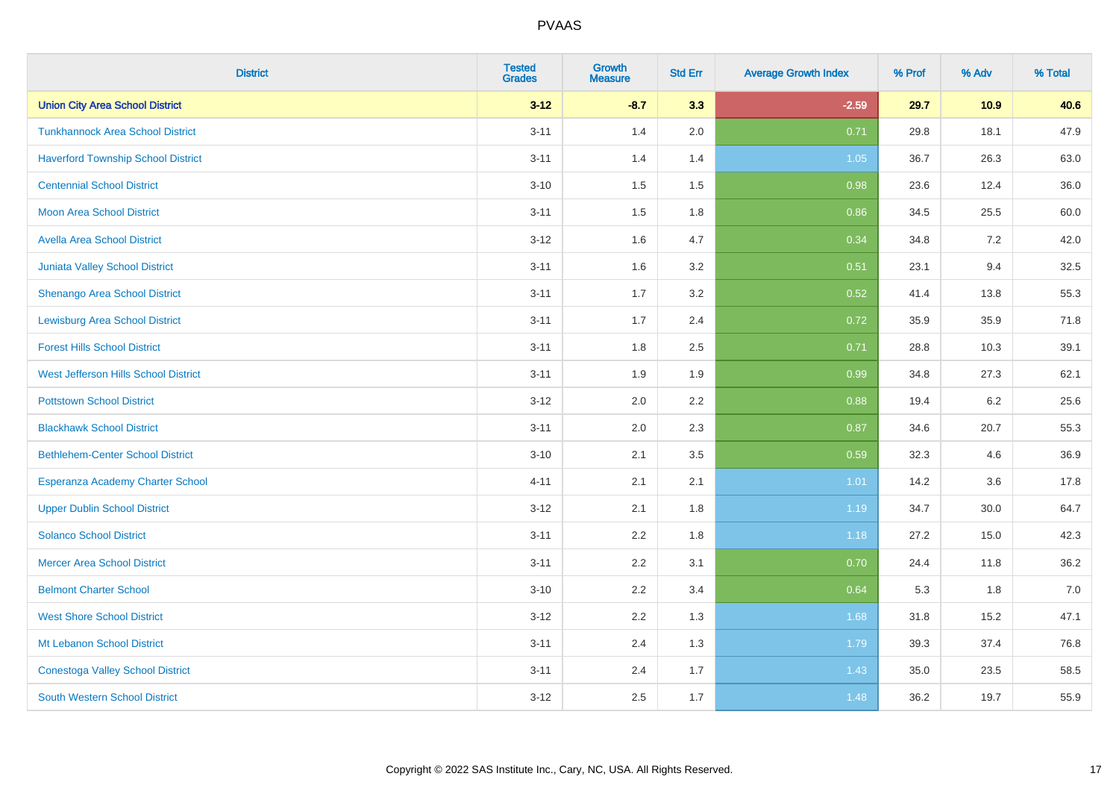| <b>District</b>                           | <b>Tested</b><br><b>Grades</b> | <b>Growth</b><br><b>Measure</b> | <b>Std Err</b> | <b>Average Growth Index</b> | % Prof | % Adv | % Total |
|-------------------------------------------|--------------------------------|---------------------------------|----------------|-----------------------------|--------|-------|---------|
| <b>Union City Area School District</b>    | $3 - 12$                       | $-8.7$                          | 3.3            | $-2.59$                     | 29.7   | 10.9  | 40.6    |
| <b>Tunkhannock Area School District</b>   | $3 - 11$                       | 1.4                             | 2.0            | 0.71                        | 29.8   | 18.1  | 47.9    |
| <b>Haverford Township School District</b> | $3 - 11$                       | 1.4                             | 1.4            | 1.05                        | 36.7   | 26.3  | 63.0    |
| <b>Centennial School District</b>         | $3 - 10$                       | 1.5                             | 1.5            | 0.98                        | 23.6   | 12.4  | 36.0    |
| <b>Moon Area School District</b>          | $3 - 11$                       | 1.5                             | 1.8            | 0.86                        | 34.5   | 25.5  | 60.0    |
| Avella Area School District               | $3 - 12$                       | 1.6                             | 4.7            | 0.34                        | 34.8   | 7.2   | 42.0    |
| <b>Juniata Valley School District</b>     | $3 - 11$                       | 1.6                             | 3.2            | 0.51                        | 23.1   | 9.4   | 32.5    |
| Shenango Area School District             | $3 - 11$                       | 1.7                             | 3.2            | 0.52                        | 41.4   | 13.8  | 55.3    |
| <b>Lewisburg Area School District</b>     | $3 - 11$                       | 1.7                             | 2.4            | 0.72                        | 35.9   | 35.9  | 71.8    |
| <b>Forest Hills School District</b>       | $3 - 11$                       | 1.8                             | 2.5            | 0.71                        | 28.8   | 10.3  | 39.1    |
| West Jefferson Hills School District      | $3 - 11$                       | 1.9                             | 1.9            | 0.99                        | 34.8   | 27.3  | 62.1    |
| <b>Pottstown School District</b>          | $3 - 12$                       | 2.0                             | 2.2            | 0.88                        | 19.4   | 6.2   | 25.6    |
| <b>Blackhawk School District</b>          | $3 - 11$                       | 2.0                             | 2.3            | 0.87                        | 34.6   | 20.7  | 55.3    |
| <b>Bethlehem-Center School District</b>   | $3 - 10$                       | 2.1                             | 3.5            | 0.59                        | 32.3   | 4.6   | 36.9    |
| Esperanza Academy Charter School          | $4 - 11$                       | 2.1                             | 2.1            | 1.01                        | 14.2   | 3.6   | 17.8    |
| <b>Upper Dublin School District</b>       | $3 - 12$                       | 2.1                             | 1.8            | 1.19                        | 34.7   | 30.0  | 64.7    |
| <b>Solanco School District</b>            | $3 - 11$                       | 2.2                             | 1.8            | 1.18                        | 27.2   | 15.0  | 42.3    |
| <b>Mercer Area School District</b>        | $3 - 11$                       | 2.2                             | 3.1            | 0.70                        | 24.4   | 11.8  | 36.2    |
| <b>Belmont Charter School</b>             | $3 - 10$                       | 2.2                             | 3.4            | 0.64                        | 5.3    | 1.8   | $7.0$   |
| <b>West Shore School District</b>         | $3 - 12$                       | 2.2                             | 1.3            | 1.68                        | 31.8   | 15.2  | 47.1    |
| Mt Lebanon School District                | $3 - 11$                       | 2.4                             | 1.3            | 1.79                        | 39.3   | 37.4  | 76.8    |
| <b>Conestoga Valley School District</b>   | $3 - 11$                       | 2.4                             | 1.7            | 1.43                        | 35.0   | 23.5  | 58.5    |
| <b>South Western School District</b>      | $3 - 12$                       | 2.5                             | 1.7            | 1.48                        | 36.2   | 19.7  | 55.9    |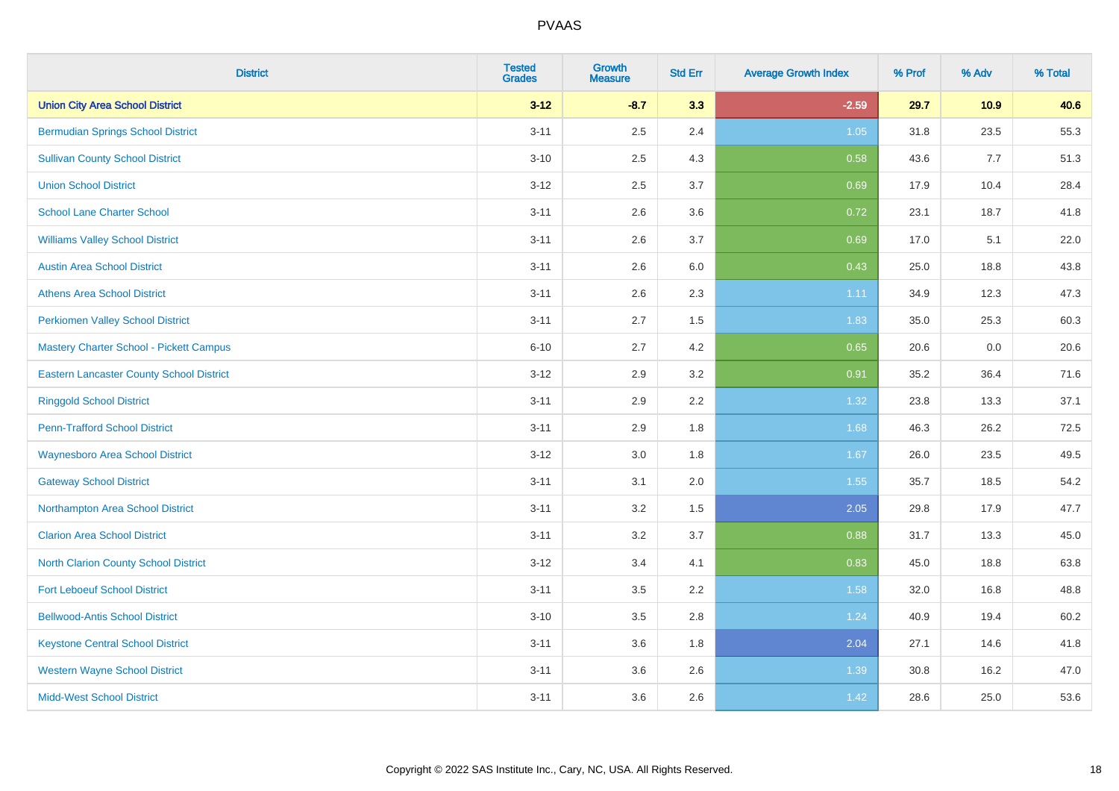| <b>District</b>                                 | <b>Tested</b><br><b>Grades</b> | <b>Growth</b><br><b>Measure</b> | <b>Std Err</b> | <b>Average Growth Index</b> | % Prof | % Adv | % Total |
|-------------------------------------------------|--------------------------------|---------------------------------|----------------|-----------------------------|--------|-------|---------|
| <b>Union City Area School District</b>          | $3 - 12$                       | $-8.7$                          | 3.3            | $-2.59$                     | 29.7   | 10.9  | 40.6    |
| <b>Bermudian Springs School District</b>        | $3 - 11$                       | 2.5                             | 2.4            | 1.05                        | 31.8   | 23.5  | 55.3    |
| <b>Sullivan County School District</b>          | $3 - 10$                       | 2.5                             | 4.3            | 0.58                        | 43.6   | 7.7   | 51.3    |
| <b>Union School District</b>                    | $3-12$                         | 2.5                             | 3.7            | 0.69                        | 17.9   | 10.4  | 28.4    |
| <b>School Lane Charter School</b>               | $3 - 11$                       | 2.6                             | 3.6            | 0.72                        | 23.1   | 18.7  | 41.8    |
| <b>Williams Valley School District</b>          | $3 - 11$                       | 2.6                             | 3.7            | 0.69                        | 17.0   | 5.1   | 22.0    |
| <b>Austin Area School District</b>              | $3 - 11$                       | 2.6                             | 6.0            | 0.43                        | 25.0   | 18.8  | 43.8    |
| <b>Athens Area School District</b>              | $3 - 11$                       | 2.6                             | 2.3            | 1.11                        | 34.9   | 12.3  | 47.3    |
| <b>Perkiomen Valley School District</b>         | $3 - 11$                       | 2.7                             | 1.5            | 1.83                        | 35.0   | 25.3  | 60.3    |
| <b>Mastery Charter School - Pickett Campus</b>  | $6 - 10$                       | 2.7                             | 4.2            | 0.65                        | 20.6   | 0.0   | 20.6    |
| <b>Eastern Lancaster County School District</b> | $3 - 12$                       | 2.9                             | 3.2            | 0.91                        | 35.2   | 36.4  | 71.6    |
| <b>Ringgold School District</b>                 | $3 - 11$                       | 2.9                             | 2.2            | 1.32                        | 23.8   | 13.3  | 37.1    |
| <b>Penn-Trafford School District</b>            | $3 - 11$                       | 2.9                             | 1.8            | 1.68                        | 46.3   | 26.2  | 72.5    |
| <b>Waynesboro Area School District</b>          | $3 - 12$                       | 3.0                             | 1.8            | 1.67                        | 26.0   | 23.5  | 49.5    |
| <b>Gateway School District</b>                  | $3 - 11$                       | 3.1                             | 2.0            | 1.55                        | 35.7   | 18.5  | 54.2    |
| Northampton Area School District                | $3 - 11$                       | 3.2                             | 1.5            | 2.05                        | 29.8   | 17.9  | 47.7    |
| <b>Clarion Area School District</b>             | $3 - 11$                       | $3.2\,$                         | 3.7            | 0.88                        | 31.7   | 13.3  | 45.0    |
| North Clarion County School District            | $3 - 12$                       | 3.4                             | 4.1            | 0.83                        | 45.0   | 18.8  | 63.8    |
| <b>Fort Leboeuf School District</b>             | $3 - 11$                       | 3.5                             | 2.2            | 1.58                        | 32.0   | 16.8  | 48.8    |
| <b>Bellwood-Antis School District</b>           | $3 - 10$                       | 3.5                             | 2.8            | 1.24                        | 40.9   | 19.4  | 60.2    |
| <b>Keystone Central School District</b>         | $3 - 11$                       | 3.6                             | 1.8            | 2.04                        | 27.1   | 14.6  | 41.8    |
| <b>Western Wayne School District</b>            | $3 - 11$                       | 3.6                             | 2.6            | 1.39                        | 30.8   | 16.2  | 47.0    |
| <b>Midd-West School District</b>                | $3 - 11$                       | 3.6                             | 2.6            | 1.42                        | 28.6   | 25.0  | 53.6    |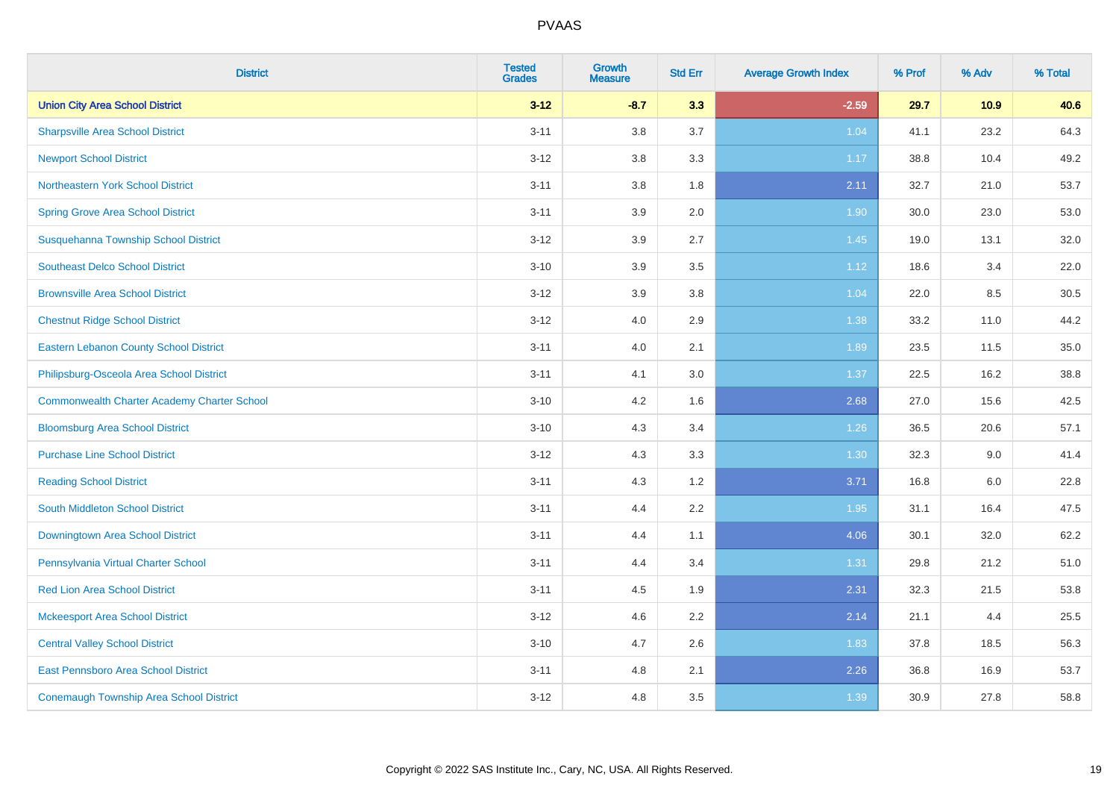| <b>District</b>                               | <b>Tested</b><br><b>Grades</b> | <b>Growth</b><br><b>Measure</b> | <b>Std Err</b> | <b>Average Growth Index</b> | % Prof | % Adv | % Total |
|-----------------------------------------------|--------------------------------|---------------------------------|----------------|-----------------------------|--------|-------|---------|
| <b>Union City Area School District</b>        | $3 - 12$                       | $-8.7$                          | 3.3            | $-2.59$                     | 29.7   | 10.9  | 40.6    |
| <b>Sharpsville Area School District</b>       | $3 - 11$                       | 3.8                             | 3.7            | 1.04                        | 41.1   | 23.2  | 64.3    |
| <b>Newport School District</b>                | $3 - 12$                       | 3.8                             | 3.3            | 1.17                        | 38.8   | 10.4  | 49.2    |
| Northeastern York School District             | $3 - 11$                       | 3.8                             | 1.8            | 2.11                        | 32.7   | 21.0  | 53.7    |
| <b>Spring Grove Area School District</b>      | $3 - 11$                       | 3.9                             | 2.0            | 1.90                        | 30.0   | 23.0  | 53.0    |
| Susquehanna Township School District          | $3 - 12$                       | 3.9                             | 2.7            | 1.45                        | 19.0   | 13.1  | 32.0    |
| <b>Southeast Delco School District</b>        | $3 - 10$                       | 3.9                             | 3.5            | 1.12                        | 18.6   | 3.4   | 22.0    |
| <b>Brownsville Area School District</b>       | $3 - 12$                       | 3.9                             | 3.8            | 1.04                        | 22.0   | 8.5   | 30.5    |
| <b>Chestnut Ridge School District</b>         | $3 - 12$                       | 4.0                             | 2.9            | 1.38                        | 33.2   | 11.0  | 44.2    |
| <b>Eastern Lebanon County School District</b> | $3 - 11$                       | 4.0                             | 2.1            | 1.89                        | 23.5   | 11.5  | 35.0    |
| Philipsburg-Osceola Area School District      | $3 - 11$                       | 4.1                             | 3.0            | 1.37                        | 22.5   | 16.2  | 38.8    |
| Commonwealth Charter Academy Charter School   | $3 - 10$                       | 4.2                             | 1.6            | 2.68                        | 27.0   | 15.6  | 42.5    |
| <b>Bloomsburg Area School District</b>        | $3 - 10$                       | 4.3                             | 3.4            | 1.26                        | 36.5   | 20.6  | 57.1    |
| <b>Purchase Line School District</b>          | $3-12$                         | 4.3                             | 3.3            | 1.30                        | 32.3   | 9.0   | 41.4    |
| <b>Reading School District</b>                | $3 - 11$                       | 4.3                             | 1.2            | 3.71                        | 16.8   | 6.0   | 22.8    |
| South Middleton School District               | $3 - 11$                       | 4.4                             | 2.2            | 1.95                        | 31.1   | 16.4  | 47.5    |
| Downingtown Area School District              | $3 - 11$                       | 4.4                             | 1.1            | 4.06                        | 30.1   | 32.0  | 62.2    |
| Pennsylvania Virtual Charter School           | $3 - 11$                       | 4.4                             | 3.4            | 1.31                        | 29.8   | 21.2  | 51.0    |
| <b>Red Lion Area School District</b>          | $3 - 11$                       | 4.5                             | 1.9            | 2.31                        | 32.3   | 21.5  | 53.8    |
| <b>Mckeesport Area School District</b>        | $3-12$                         | 4.6                             | 2.2            | 2.14                        | 21.1   | 4.4   | 25.5    |
| <b>Central Valley School District</b>         | $3 - 10$                       | 4.7                             | 2.6            | 1.83                        | 37.8   | 18.5  | 56.3    |
| East Pennsboro Area School District           | $3 - 11$                       | 4.8                             | 2.1            | 2.26                        | 36.8   | 16.9  | 53.7    |
| Conemaugh Township Area School District       | $3-12$                         | 4.8                             | 3.5            | 1.39                        | 30.9   | 27.8  | 58.8    |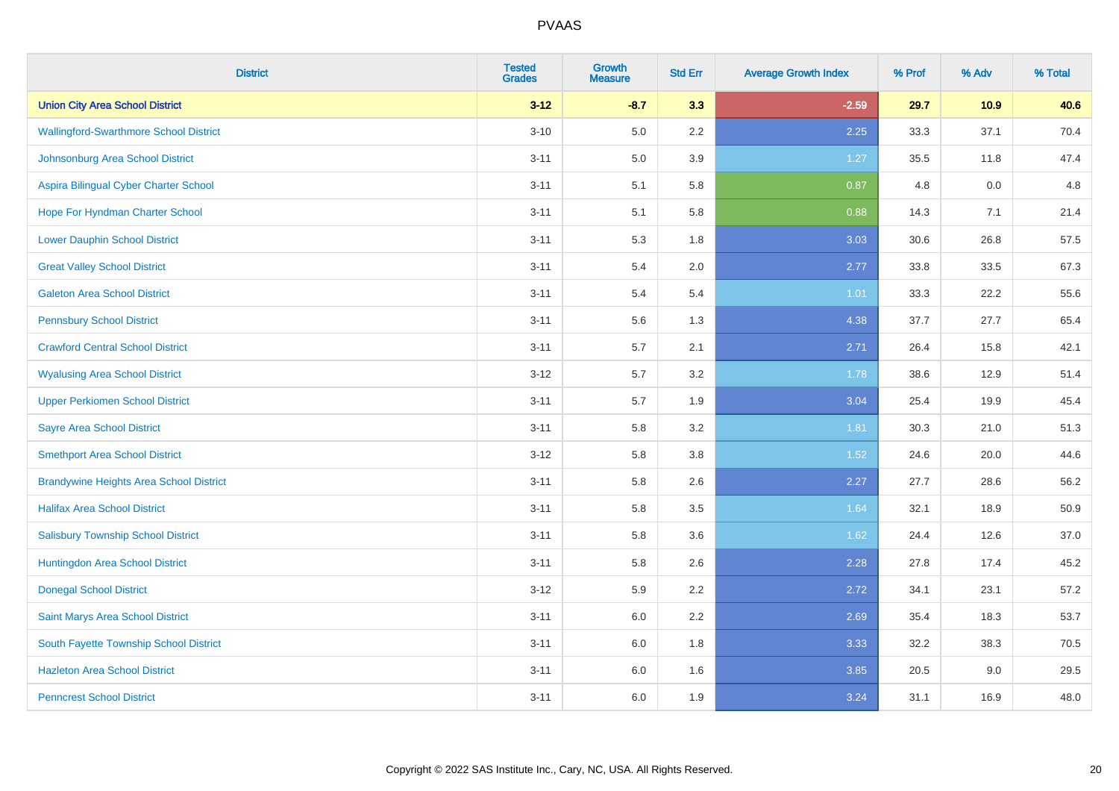| <b>District</b>                                | <b>Tested</b><br><b>Grades</b> | <b>Growth</b><br><b>Measure</b> | <b>Std Err</b> | <b>Average Growth Index</b> | % Prof | % Adv | % Total |
|------------------------------------------------|--------------------------------|---------------------------------|----------------|-----------------------------|--------|-------|---------|
| <b>Union City Area School District</b>         | $3 - 12$                       | $-8.7$                          | 3.3            | $-2.59$                     | 29.7   | 10.9  | 40.6    |
| <b>Wallingford-Swarthmore School District</b>  | $3 - 10$                       | 5.0                             | $2.2\,$        | 2.25                        | 33.3   | 37.1  | 70.4    |
| Johnsonburg Area School District               | $3 - 11$                       | 5.0                             | 3.9            | $1.27$                      | 35.5   | 11.8  | 47.4    |
| Aspira Bilingual Cyber Charter School          | $3 - 11$                       | 5.1                             | 5.8            | 0.87                        | 4.8    | 0.0   | 4.8     |
| Hope For Hyndman Charter School                | $3 - 11$                       | 5.1                             | 5.8            | 0.88                        | 14.3   | 7.1   | 21.4    |
| <b>Lower Dauphin School District</b>           | $3 - 11$                       | 5.3                             | 1.8            | 3.03                        | 30.6   | 26.8  | 57.5    |
| <b>Great Valley School District</b>            | $3 - 11$                       | 5.4                             | 2.0            | 2.77                        | 33.8   | 33.5  | 67.3    |
| <b>Galeton Area School District</b>            | $3 - 11$                       | 5.4                             | 5.4            | 1.01                        | 33.3   | 22.2  | 55.6    |
| <b>Pennsbury School District</b>               | $3 - 11$                       | 5.6                             | 1.3            | 4.38                        | 37.7   | 27.7  | 65.4    |
| <b>Crawford Central School District</b>        | $3 - 11$                       | 5.7                             | 2.1            | 2.71                        | 26.4   | 15.8  | 42.1    |
| <b>Wyalusing Area School District</b>          | $3 - 12$                       | 5.7                             | 3.2            | 1.78                        | 38.6   | 12.9  | 51.4    |
| <b>Upper Perkiomen School District</b>         | $3 - 11$                       | 5.7                             | 1.9            | 3.04                        | 25.4   | 19.9  | 45.4    |
| <b>Sayre Area School District</b>              | $3 - 11$                       | 5.8                             | 3.2            | 1.81                        | 30.3   | 21.0  | 51.3    |
| <b>Smethport Area School District</b>          | $3 - 12$                       | 5.8                             | 3.8            | 1.52                        | 24.6   | 20.0  | 44.6    |
| <b>Brandywine Heights Area School District</b> | $3 - 11$                       | 5.8                             | 2.6            | 2.27                        | 27.7   | 28.6  | 56.2    |
| <b>Halifax Area School District</b>            | $3 - 11$                       | 5.8                             | 3.5            | 1.64                        | 32.1   | 18.9  | 50.9    |
| <b>Salisbury Township School District</b>      | $3 - 11$                       | 5.8                             | 3.6            | 1.62                        | 24.4   | 12.6  | 37.0    |
| Huntingdon Area School District                | $3 - 11$                       | 5.8                             | 2.6            | 2.28                        | 27.8   | 17.4  | 45.2    |
| <b>Donegal School District</b>                 | $3 - 12$                       | 5.9                             | 2.2            | 2.72                        | 34.1   | 23.1  | 57.2    |
| Saint Marys Area School District               | $3 - 11$                       | 6.0                             | 2.2            | 2.69                        | 35.4   | 18.3  | 53.7    |
| South Fayette Township School District         | $3 - 11$                       | 6.0                             | 1.8            | 3.33                        | 32.2   | 38.3  | 70.5    |
| <b>Hazleton Area School District</b>           | $3 - 11$                       | 6.0                             | 1.6            | 3.85                        | 20.5   | 9.0   | 29.5    |
| <b>Penncrest School District</b>               | $3 - 11$                       | 6.0                             | 1.9            | 3.24                        | 31.1   | 16.9  | 48.0    |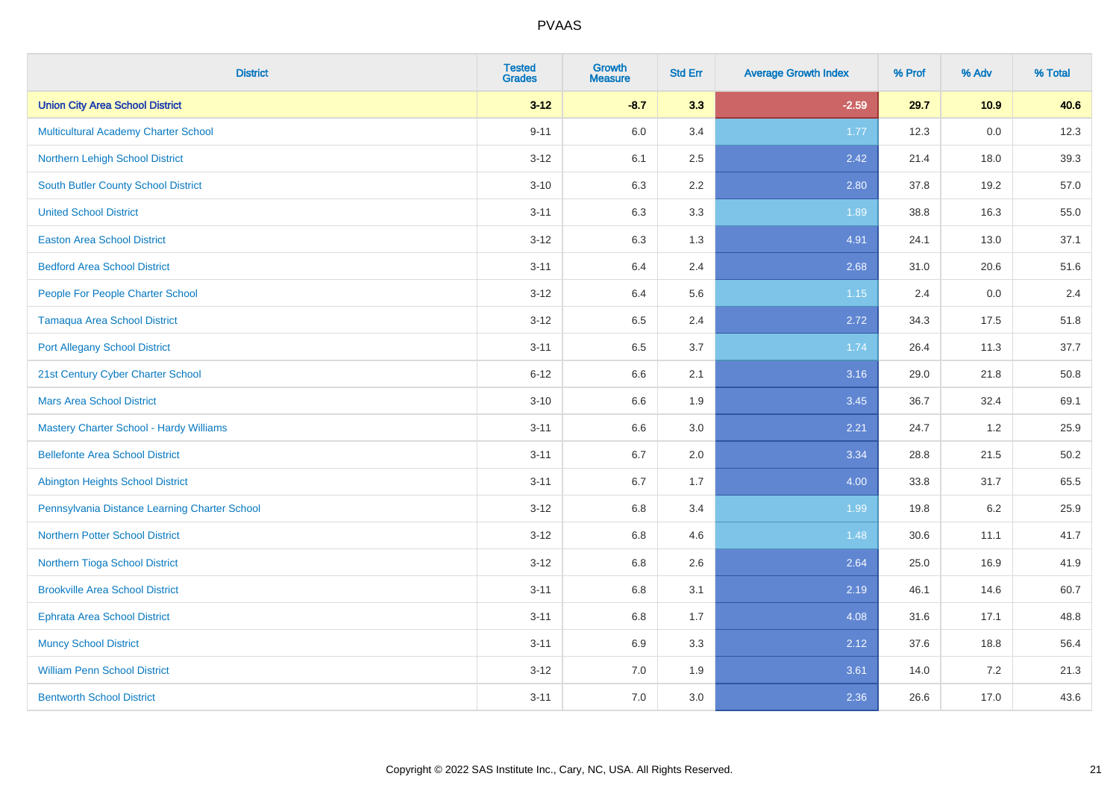| <b>District</b>                                | <b>Tested</b><br><b>Grades</b> | <b>Growth</b><br><b>Measure</b> | <b>Std Err</b> | <b>Average Growth Index</b> | % Prof | % Adv   | % Total |
|------------------------------------------------|--------------------------------|---------------------------------|----------------|-----------------------------|--------|---------|---------|
| <b>Union City Area School District</b>         | $3 - 12$                       | $-8.7$                          | 3.3            | $-2.59$                     | 29.7   | 10.9    | 40.6    |
| Multicultural Academy Charter School           | $9 - 11$                       | 6.0                             | 3.4            | 1.77                        | 12.3   | $0.0\,$ | 12.3    |
| Northern Lehigh School District                | $3 - 12$                       | 6.1                             | 2.5            | 2.42                        | 21.4   | 18.0    | 39.3    |
| South Butler County School District            | $3 - 10$                       | 6.3                             | 2.2            | 2.80                        | 37.8   | 19.2    | 57.0    |
| <b>United School District</b>                  | $3 - 11$                       | 6.3                             | 3.3            | 1.89                        | 38.8   | 16.3    | 55.0    |
| <b>Easton Area School District</b>             | $3 - 12$                       | 6.3                             | 1.3            | 4.91                        | 24.1   | 13.0    | 37.1    |
| <b>Bedford Area School District</b>            | $3 - 11$                       | 6.4                             | 2.4            | 2.68                        | 31.0   | 20.6    | 51.6    |
| People For People Charter School               | $3 - 12$                       | 6.4                             | 5.6            | 1.15                        | 2.4    | 0.0     | 2.4     |
| <b>Tamaqua Area School District</b>            | $3 - 12$                       | 6.5                             | 2.4            | 2.72                        | 34.3   | 17.5    | 51.8    |
| <b>Port Allegany School District</b>           | $3 - 11$                       | 6.5                             | 3.7            | 1.74                        | 26.4   | 11.3    | 37.7    |
| 21st Century Cyber Charter School              | $6 - 12$                       | 6.6                             | 2.1            | 3.16                        | 29.0   | 21.8    | 50.8    |
| <b>Mars Area School District</b>               | $3 - 10$                       | 6.6                             | 1.9            | 3.45                        | 36.7   | 32.4    | 69.1    |
| <b>Mastery Charter School - Hardy Williams</b> | $3 - 11$                       | 6.6                             | 3.0            | 2.21                        | 24.7   | 1.2     | 25.9    |
| <b>Bellefonte Area School District</b>         | $3 - 11$                       | 6.7                             | 2.0            | 3.34                        | 28.8   | 21.5    | 50.2    |
| <b>Abington Heights School District</b>        | $3 - 11$                       | 6.7                             | 1.7            | 4.00                        | 33.8   | 31.7    | 65.5    |
| Pennsylvania Distance Learning Charter School  | $3 - 12$                       | 6.8                             | 3.4            | 1.99                        | 19.8   | $6.2\,$ | 25.9    |
| <b>Northern Potter School District</b>         | $3 - 12$                       | 6.8                             | 4.6            | 1.48                        | 30.6   | 11.1    | 41.7    |
| Northern Tioga School District                 | $3 - 12$                       | 6.8                             | 2.6            | 2.64                        | 25.0   | 16.9    | 41.9    |
| <b>Brookville Area School District</b>         | $3 - 11$                       | 6.8                             | 3.1            | 2.19                        | 46.1   | 14.6    | 60.7    |
| Ephrata Area School District                   | $3 - 11$                       | 6.8                             | 1.7            | 4.08                        | 31.6   | 17.1    | 48.8    |
| <b>Muncy School District</b>                   | $3 - 11$                       | 6.9                             | 3.3            | 2.12                        | 37.6   | 18.8    | 56.4    |
| <b>William Penn School District</b>            | $3 - 12$                       | 7.0                             | 1.9            | 3.61                        | 14.0   | 7.2     | 21.3    |
| <b>Bentworth School District</b>               | $3 - 11$                       | 7.0                             | 3.0            | 2.36                        | 26.6   | 17.0    | 43.6    |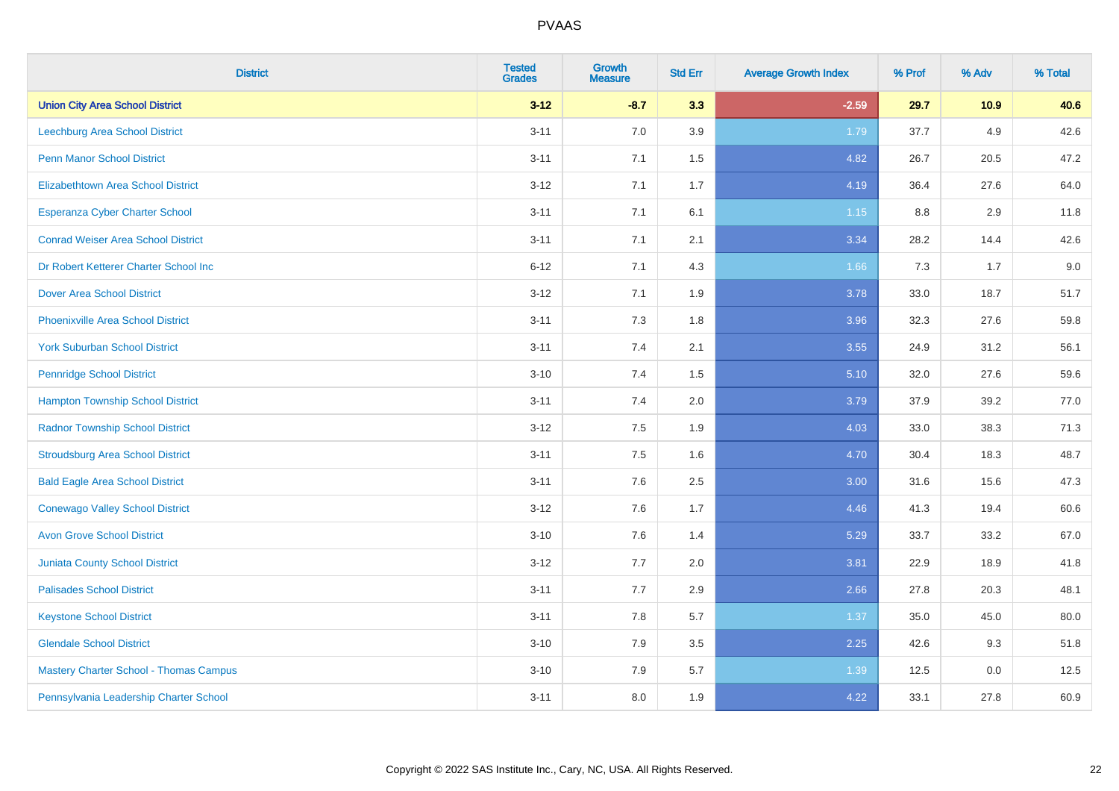| <b>District</b>                               | <b>Tested</b><br><b>Grades</b> | <b>Growth</b><br><b>Measure</b> | <b>Std Err</b> | <b>Average Growth Index</b> | % Prof | % Adv | % Total |
|-----------------------------------------------|--------------------------------|---------------------------------|----------------|-----------------------------|--------|-------|---------|
| <b>Union City Area School District</b>        | $3 - 12$                       | $-8.7$                          | 3.3            | $-2.59$                     | 29.7   | 10.9  | 40.6    |
| <b>Leechburg Area School District</b>         | $3 - 11$                       | 7.0                             | 3.9            | 1.79                        | 37.7   | 4.9   | 42.6    |
| <b>Penn Manor School District</b>             | $3 - 11$                       | 7.1                             | 1.5            | 4.82                        | 26.7   | 20.5  | 47.2    |
| <b>Elizabethtown Area School District</b>     | $3 - 12$                       | 7.1                             | 1.7            | 4.19                        | 36.4   | 27.6  | 64.0    |
| <b>Esperanza Cyber Charter School</b>         | $3 - 11$                       | 7.1                             | 6.1            | $1.15$                      | 8.8    | 2.9   | 11.8    |
| <b>Conrad Weiser Area School District</b>     | $3 - 11$                       | 7.1                             | 2.1            | 3.34                        | 28.2   | 14.4  | 42.6    |
| Dr Robert Ketterer Charter School Inc         | $6 - 12$                       | 7.1                             | 4.3            | 1.66                        | 7.3    | 1.7   | 9.0     |
| <b>Dover Area School District</b>             | $3 - 12$                       | 7.1                             | 1.9            | 3.78                        | 33.0   | 18.7  | 51.7    |
| <b>Phoenixville Area School District</b>      | $3 - 11$                       | 7.3                             | 1.8            | 3.96                        | 32.3   | 27.6  | 59.8    |
| <b>York Suburban School District</b>          | $3 - 11$                       | 7.4                             | 2.1            | 3.55                        | 24.9   | 31.2  | 56.1    |
| <b>Pennridge School District</b>              | $3 - 10$                       | 7.4                             | 1.5            | 5.10                        | 32.0   | 27.6  | 59.6    |
| <b>Hampton Township School District</b>       | $3 - 11$                       | 7.4                             | 2.0            | 3.79                        | 37.9   | 39.2  | 77.0    |
| <b>Radnor Township School District</b>        | $3 - 12$                       | 7.5                             | 1.9            | 4.03                        | 33.0   | 38.3  | 71.3    |
| <b>Stroudsburg Area School District</b>       | $3 - 11$                       | 7.5                             | 1.6            | 4.70                        | 30.4   | 18.3  | 48.7    |
| <b>Bald Eagle Area School District</b>        | $3 - 11$                       | 7.6                             | 2.5            | 3.00                        | 31.6   | 15.6  | 47.3    |
| <b>Conewago Valley School District</b>        | $3 - 12$                       | 7.6                             | 1.7            | 4.46                        | 41.3   | 19.4  | 60.6    |
| <b>Avon Grove School District</b>             | $3 - 10$                       | 7.6                             | 1.4            | 5.29                        | 33.7   | 33.2  | 67.0    |
| <b>Juniata County School District</b>         | $3 - 12$                       | 7.7                             | 2.0            | 3.81                        | 22.9   | 18.9  | 41.8    |
| <b>Palisades School District</b>              | $3 - 11$                       | 7.7                             | 2.9            | 2.66                        | 27.8   | 20.3  | 48.1    |
| <b>Keystone School District</b>               | $3 - 11$                       | 7.8                             | 5.7            | 1.37                        | 35.0   | 45.0  | 80.0    |
| <b>Glendale School District</b>               | $3 - 10$                       | 7.9                             | $3.5\,$        | 2.25                        | 42.6   | 9.3   | 51.8    |
| <b>Mastery Charter School - Thomas Campus</b> | $3 - 10$                       | 7.9                             | 5.7            | 1.39                        | 12.5   | 0.0   | 12.5    |
| Pennsylvania Leadership Charter School        | $3 - 11$                       | 8.0                             | 1.9            | 4.22                        | 33.1   | 27.8  | 60.9    |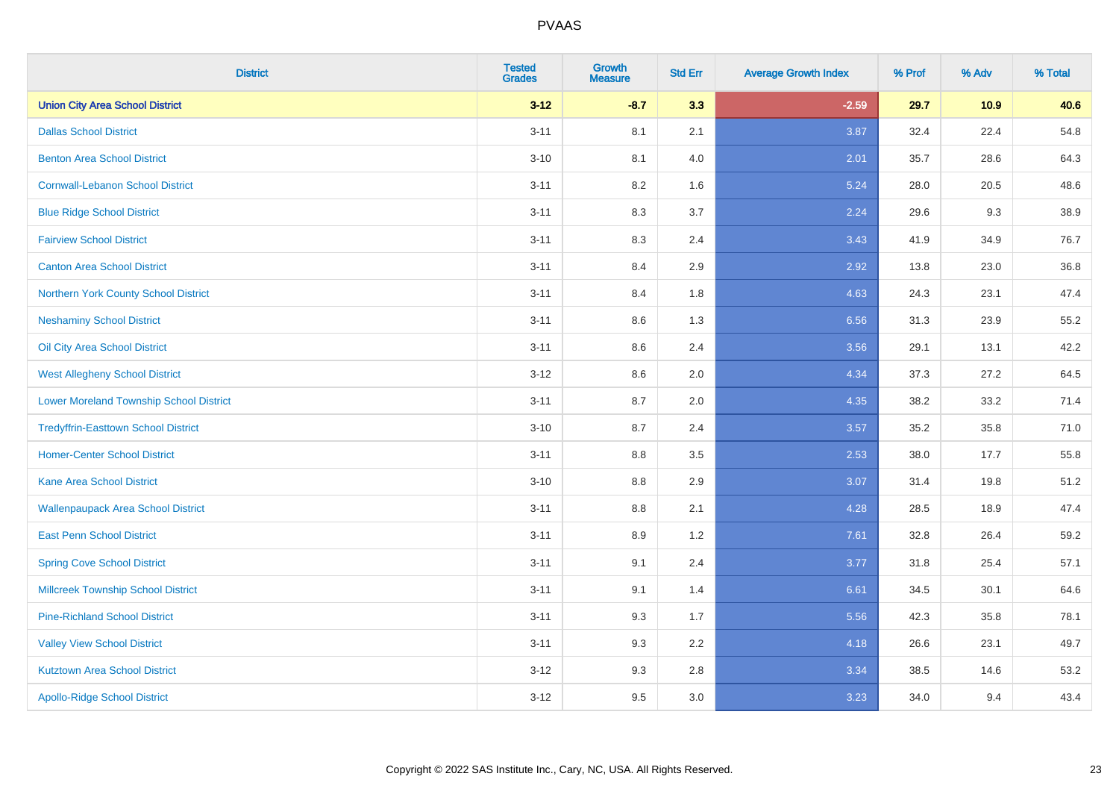| <b>District</b>                                | <b>Tested</b><br><b>Grades</b> | <b>Growth</b><br><b>Measure</b> | <b>Std Err</b> | <b>Average Growth Index</b> | % Prof | % Adv | % Total |
|------------------------------------------------|--------------------------------|---------------------------------|----------------|-----------------------------|--------|-------|---------|
| <b>Union City Area School District</b>         | $3 - 12$                       | $-8.7$                          | 3.3            | $-2.59$                     | 29.7   | 10.9  | 40.6    |
| <b>Dallas School District</b>                  | $3 - 11$                       | 8.1                             | 2.1            | 3.87                        | 32.4   | 22.4  | 54.8    |
| <b>Benton Area School District</b>             | $3 - 10$                       | 8.1                             | 4.0            | 2.01                        | 35.7   | 28.6  | 64.3    |
| <b>Cornwall-Lebanon School District</b>        | $3 - 11$                       | 8.2                             | 1.6            | 5.24                        | 28.0   | 20.5  | 48.6    |
| <b>Blue Ridge School District</b>              | $3 - 11$                       | 8.3                             | 3.7            | 2.24                        | 29.6   | 9.3   | 38.9    |
| <b>Fairview School District</b>                | $3 - 11$                       | 8.3                             | 2.4            | 3.43                        | 41.9   | 34.9  | 76.7    |
| <b>Canton Area School District</b>             | $3 - 11$                       | 8.4                             | 2.9            | 2.92                        | 13.8   | 23.0  | 36.8    |
| Northern York County School District           | $3 - 11$                       | 8.4                             | 1.8            | 4.63                        | 24.3   | 23.1  | 47.4    |
| <b>Neshaminy School District</b>               | $3 - 11$                       | 8.6                             | 1.3            | 6.56                        | 31.3   | 23.9  | 55.2    |
| Oil City Area School District                  | $3 - 11$                       | 8.6                             | 2.4            | 3.56                        | 29.1   | 13.1  | 42.2    |
| <b>West Allegheny School District</b>          | $3 - 12$                       | 8.6                             | 2.0            | 4.34                        | 37.3   | 27.2  | 64.5    |
| <b>Lower Moreland Township School District</b> | $3 - 11$                       | 8.7                             | 2.0            | 4.35                        | 38.2   | 33.2  | 71.4    |
| <b>Tredyffrin-Easttown School District</b>     | $3 - 10$                       | 8.7                             | 2.4            | 3.57                        | 35.2   | 35.8  | 71.0    |
| <b>Homer-Center School District</b>            | $3 - 11$                       | 8.8                             | 3.5            | 2.53                        | 38.0   | 17.7  | 55.8    |
| <b>Kane Area School District</b>               | $3 - 10$                       | 8.8                             | 2.9            | 3.07                        | 31.4   | 19.8  | 51.2    |
| <b>Wallenpaupack Area School District</b>      | $3 - 11$                       | $8.8\,$                         | 2.1            | 4.28                        | 28.5   | 18.9  | 47.4    |
| <b>East Penn School District</b>               | $3 - 11$                       | 8.9                             | 1.2            | 7.61                        | 32.8   | 26.4  | 59.2    |
| <b>Spring Cove School District</b>             | $3 - 11$                       | 9.1                             | 2.4            | 3.77                        | 31.8   | 25.4  | 57.1    |
| <b>Millcreek Township School District</b>      | $3 - 11$                       | 9.1                             | 1.4            | 6.61                        | 34.5   | 30.1  | 64.6    |
| <b>Pine-Richland School District</b>           | $3 - 11$                       | 9.3                             | 1.7            | 5.56                        | 42.3   | 35.8  | 78.1    |
| <b>Valley View School District</b>             | $3 - 11$                       | 9.3                             | 2.2            | 4.18                        | 26.6   | 23.1  | 49.7    |
| <b>Kutztown Area School District</b>           | $3 - 12$                       | 9.3                             | $2.8\,$        | 3.34                        | 38.5   | 14.6  | 53.2    |
| <b>Apollo-Ridge School District</b>            | $3-12$                         | 9.5                             | 3.0            | 3.23                        | 34.0   | 9.4   | 43.4    |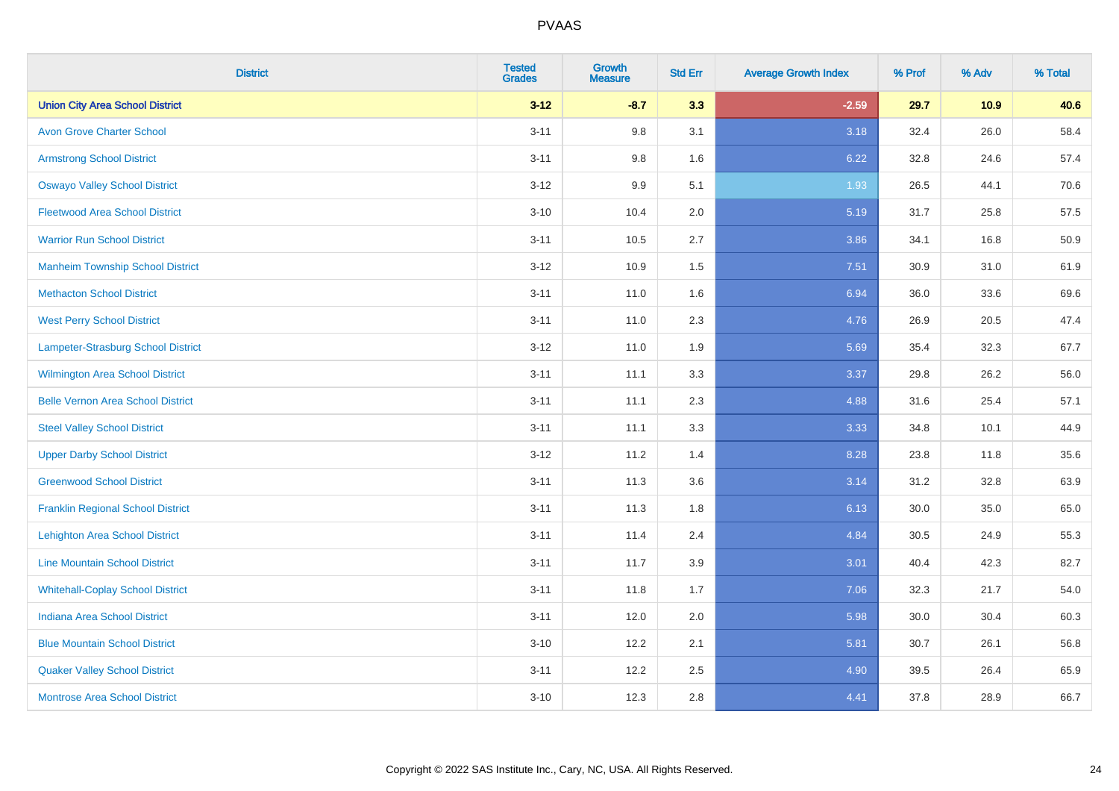| <b>District</b>                          | <b>Tested</b><br><b>Grades</b> | <b>Growth</b><br><b>Measure</b> | <b>Std Err</b> | <b>Average Growth Index</b> | % Prof | % Adv | % Total |
|------------------------------------------|--------------------------------|---------------------------------|----------------|-----------------------------|--------|-------|---------|
| <b>Union City Area School District</b>   | $3 - 12$                       | $-8.7$                          | 3.3            | $-2.59$                     | 29.7   | 10.9  | 40.6    |
| <b>Avon Grove Charter School</b>         | $3 - 11$                       | 9.8                             | 3.1            | 3.18                        | 32.4   | 26.0  | 58.4    |
| <b>Armstrong School District</b>         | $3 - 11$                       | 9.8                             | 1.6            | 6.22                        | 32.8   | 24.6  | 57.4    |
| <b>Oswayo Valley School District</b>     | $3-12$                         | 9.9                             | 5.1            | 1.93                        | 26.5   | 44.1  | 70.6    |
| <b>Fleetwood Area School District</b>    | $3 - 10$                       | 10.4                            | 2.0            | 5.19                        | 31.7   | 25.8  | 57.5    |
| <b>Warrior Run School District</b>       | $3 - 11$                       | 10.5                            | 2.7            | 3.86                        | 34.1   | 16.8  | 50.9    |
| <b>Manheim Township School District</b>  | $3 - 12$                       | 10.9                            | 1.5            | 7.51                        | 30.9   | 31.0  | 61.9    |
| <b>Methacton School District</b>         | $3 - 11$                       | 11.0                            | 1.6            | 6.94                        | 36.0   | 33.6  | 69.6    |
| <b>West Perry School District</b>        | $3 - 11$                       | 11.0                            | 2.3            | 4.76                        | 26.9   | 20.5  | 47.4    |
| Lampeter-Strasburg School District       | $3 - 12$                       | 11.0                            | 1.9            | 5.69                        | 35.4   | 32.3  | 67.7    |
| <b>Wilmington Area School District</b>   | $3 - 11$                       | 11.1                            | 3.3            | 3.37                        | 29.8   | 26.2  | 56.0    |
| <b>Belle Vernon Area School District</b> | $3 - 11$                       | 11.1                            | 2.3            | 4.88                        | 31.6   | 25.4  | 57.1    |
| <b>Steel Valley School District</b>      | $3 - 11$                       | 11.1                            | 3.3            | 3.33                        | 34.8   | 10.1  | 44.9    |
| <b>Upper Darby School District</b>       | $3 - 12$                       | 11.2                            | 1.4            | 8.28                        | 23.8   | 11.8  | 35.6    |
| <b>Greenwood School District</b>         | $3 - 11$                       | 11.3                            | 3.6            | 3.14                        | 31.2   | 32.8  | 63.9    |
| <b>Franklin Regional School District</b> | $3 - 11$                       | 11.3                            | 1.8            | 6.13                        | 30.0   | 35.0  | 65.0    |
| <b>Lehighton Area School District</b>    | $3 - 11$                       | 11.4                            | 2.4            | 4.84                        | 30.5   | 24.9  | 55.3    |
| <b>Line Mountain School District</b>     | $3 - 11$                       | 11.7                            | 3.9            | 3.01                        | 40.4   | 42.3  | 82.7    |
| <b>Whitehall-Coplay School District</b>  | $3 - 11$                       | 11.8                            | 1.7            | 7.06                        | 32.3   | 21.7  | 54.0    |
| <b>Indiana Area School District</b>      | $3 - 11$                       | 12.0                            | 2.0            | 5.98                        | 30.0   | 30.4  | 60.3    |
| <b>Blue Mountain School District</b>     | $3 - 10$                       | 12.2                            | 2.1            | 5.81                        | 30.7   | 26.1  | 56.8    |
| <b>Quaker Valley School District</b>     | $3 - 11$                       | 12.2                            | 2.5            | 4.90                        | 39.5   | 26.4  | 65.9    |
| <b>Montrose Area School District</b>     | $3 - 10$                       | 12.3                            | 2.8            | 4.41                        | 37.8   | 28.9  | 66.7    |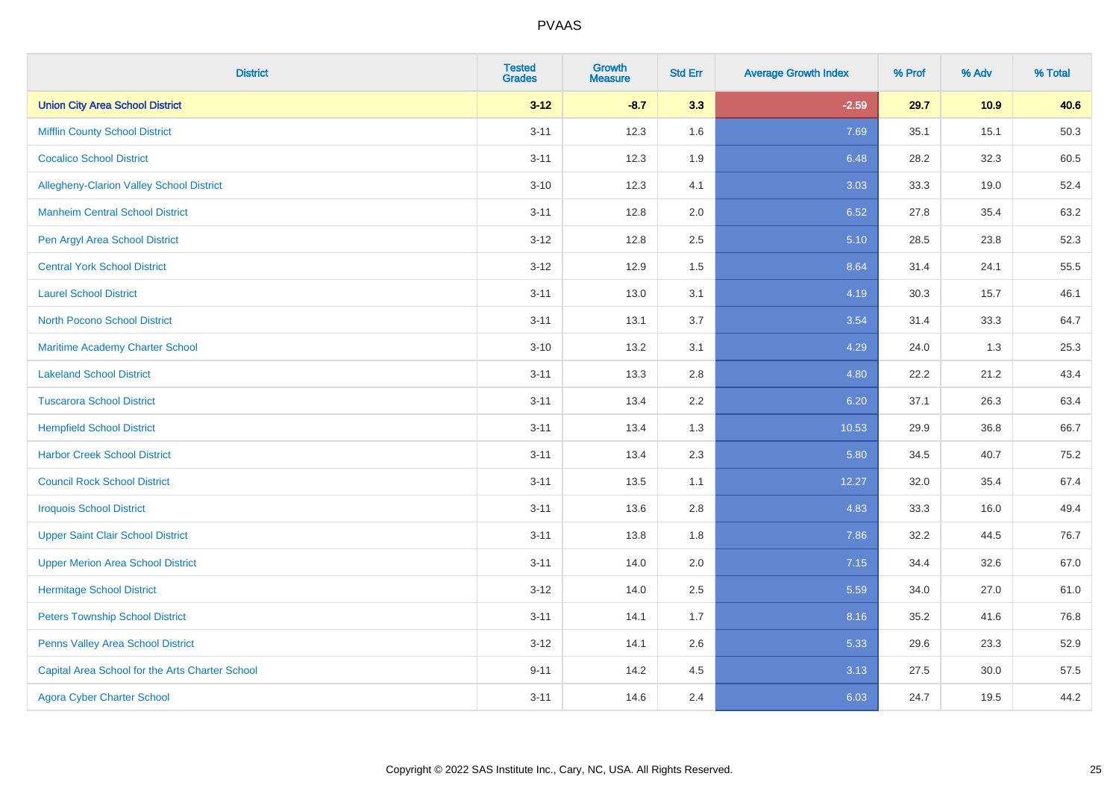| <b>District</b>                                 | <b>Tested</b><br><b>Grades</b> | <b>Growth</b><br><b>Measure</b> | <b>Std Err</b> | <b>Average Growth Index</b> | % Prof | % Adv | % Total |
|-------------------------------------------------|--------------------------------|---------------------------------|----------------|-----------------------------|--------|-------|---------|
| <b>Union City Area School District</b>          | $3 - 12$                       | $-8.7$                          | 3.3            | $-2.59$                     | 29.7   | 10.9  | 40.6    |
| <b>Mifflin County School District</b>           | $3 - 11$                       | 12.3                            | 1.6            | 7.69                        | 35.1   | 15.1  | 50.3    |
| <b>Cocalico School District</b>                 | $3 - 11$                       | 12.3                            | 1.9            | 6.48                        | 28.2   | 32.3  | 60.5    |
| <b>Allegheny-Clarion Valley School District</b> | $3 - 10$                       | 12.3                            | 4.1            | 3.03                        | 33.3   | 19.0  | 52.4    |
| <b>Manheim Central School District</b>          | $3 - 11$                       | 12.8                            | 2.0            | 6.52                        | 27.8   | 35.4  | 63.2    |
| Pen Argyl Area School District                  | $3 - 12$                       | 12.8                            | 2.5            | 5.10                        | 28.5   | 23.8  | 52.3    |
| <b>Central York School District</b>             | $3 - 12$                       | 12.9                            | 1.5            | 8.64                        | 31.4   | 24.1  | 55.5    |
| <b>Laurel School District</b>                   | $3 - 11$                       | 13.0                            | 3.1            | 4.19                        | 30.3   | 15.7  | 46.1    |
| <b>North Pocono School District</b>             | $3 - 11$                       | 13.1                            | 3.7            | 3.54                        | 31.4   | 33.3  | 64.7    |
| Maritime Academy Charter School                 | $3 - 10$                       | 13.2                            | 3.1            | 4.29                        | 24.0   | 1.3   | 25.3    |
| <b>Lakeland School District</b>                 | $3 - 11$                       | 13.3                            | 2.8            | 4.80                        | 22.2   | 21.2  | 43.4    |
| <b>Tuscarora School District</b>                | $3 - 11$                       | 13.4                            | 2.2            | 6.20                        | 37.1   | 26.3  | 63.4    |
| <b>Hempfield School District</b>                | $3 - 11$                       | 13.4                            | 1.3            | 10.53                       | 29.9   | 36.8  | 66.7    |
| <b>Harbor Creek School District</b>             | $3 - 11$                       | 13.4                            | 2.3            | 5.80                        | 34.5   | 40.7  | 75.2    |
| <b>Council Rock School District</b>             | $3 - 11$                       | 13.5                            | 1.1            | 12.27                       | 32.0   | 35.4  | 67.4    |
| <b>Iroquois School District</b>                 | $3 - 11$                       | 13.6                            | 2.8            | 4.83                        | 33.3   | 16.0  | 49.4    |
| <b>Upper Saint Clair School District</b>        | $3 - 11$                       | 13.8                            | 1.8            | 7.86                        | 32.2   | 44.5  | 76.7    |
| <b>Upper Merion Area School District</b>        | $3 - 11$                       | 14.0                            | 2.0            | 7.15                        | 34.4   | 32.6  | 67.0    |
| <b>Hermitage School District</b>                | $3 - 12$                       | 14.0                            | 2.5            | 5.59                        | 34.0   | 27.0  | 61.0    |
| <b>Peters Township School District</b>          | $3 - 11$                       | 14.1                            | 1.7            | 8.16                        | 35.2   | 41.6  | 76.8    |
| Penns Valley Area School District               | $3 - 12$                       | 14.1                            | 2.6            | 5.33                        | 29.6   | 23.3  | 52.9    |
| Capital Area School for the Arts Charter School | $9 - 11$                       | 14.2                            | 4.5            | 3.13                        | 27.5   | 30.0  | 57.5    |
| <b>Agora Cyber Charter School</b>               | $3 - 11$                       | 14.6                            | 2.4            | 6.03                        | 24.7   | 19.5  | 44.2    |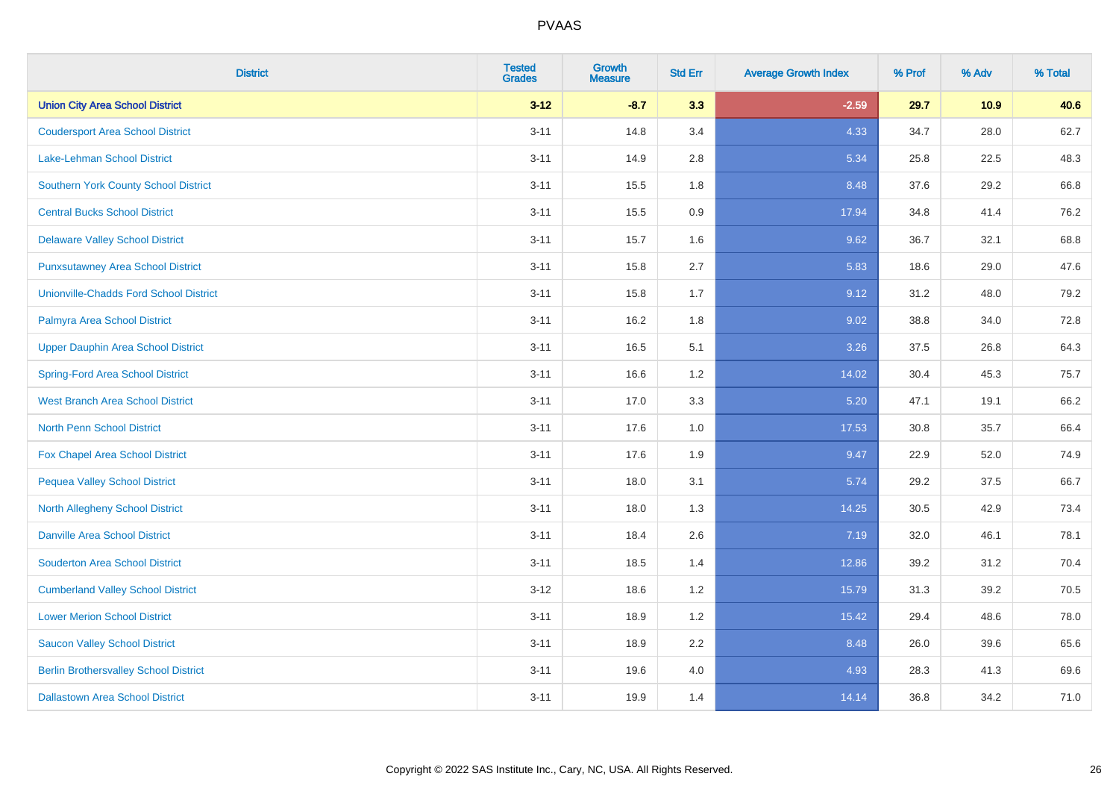| <b>District</b>                              | <b>Tested</b><br><b>Grades</b> | <b>Growth</b><br><b>Measure</b> | <b>Std Err</b> | <b>Average Growth Index</b> | % Prof | % Adv | % Total |
|----------------------------------------------|--------------------------------|---------------------------------|----------------|-----------------------------|--------|-------|---------|
| <b>Union City Area School District</b>       | $3 - 12$                       | $-8.7$                          | 3.3            | $-2.59$                     | 29.7   | 10.9  | 40.6    |
| <b>Coudersport Area School District</b>      | $3 - 11$                       | 14.8                            | 3.4            | 4.33                        | 34.7   | 28.0  | 62.7    |
| Lake-Lehman School District                  | $3 - 11$                       | 14.9                            | 2.8            | 5.34                        | 25.8   | 22.5  | 48.3    |
| <b>Southern York County School District</b>  | $3 - 11$                       | 15.5                            | 1.8            | 8.48                        | 37.6   | 29.2  | 66.8    |
| <b>Central Bucks School District</b>         | $3 - 11$                       | 15.5                            | 0.9            | 17.94                       | 34.8   | 41.4  | 76.2    |
| <b>Delaware Valley School District</b>       | $3 - 11$                       | 15.7                            | 1.6            | 9.62                        | 36.7   | 32.1  | 68.8    |
| <b>Punxsutawney Area School District</b>     | $3 - 11$                       | 15.8                            | 2.7            | 5.83                        | 18.6   | 29.0  | 47.6    |
| Unionville-Chadds Ford School District       | $3 - 11$                       | 15.8                            | 1.7            | 9.12                        | 31.2   | 48.0  | 79.2    |
| Palmyra Area School District                 | $3 - 11$                       | 16.2                            | 1.8            | 9.02                        | 38.8   | 34.0  | 72.8    |
| <b>Upper Dauphin Area School District</b>    | $3 - 11$                       | 16.5                            | 5.1            | 3.26                        | 37.5   | 26.8  | 64.3    |
| <b>Spring-Ford Area School District</b>      | $3 - 11$                       | 16.6                            | 1.2            | 14.02                       | 30.4   | 45.3  | 75.7    |
| <b>West Branch Area School District</b>      | $3 - 11$                       | 17.0                            | 3.3            | 5.20                        | 47.1   | 19.1  | 66.2    |
| North Penn School District                   | $3 - 11$                       | 17.6                            | 1.0            | 17.53                       | 30.8   | 35.7  | 66.4    |
| <b>Fox Chapel Area School District</b>       | $3 - 11$                       | 17.6                            | 1.9            | 9.47                        | 22.9   | 52.0  | 74.9    |
| <b>Pequea Valley School District</b>         | $3 - 11$                       | 18.0                            | 3.1            | 5.74                        | 29.2   | 37.5  | 66.7    |
| <b>North Allegheny School District</b>       | $3 - 11$                       | 18.0                            | 1.3            | 14.25                       | 30.5   | 42.9  | 73.4    |
| <b>Danville Area School District</b>         | $3 - 11$                       | 18.4                            | 2.6            | 7.19                        | 32.0   | 46.1  | 78.1    |
| <b>Souderton Area School District</b>        | $3 - 11$                       | 18.5                            | 1.4            | 12.86                       | 39.2   | 31.2  | 70.4    |
| <b>Cumberland Valley School District</b>     | $3 - 12$                       | 18.6                            | 1.2            | 15.79                       | 31.3   | 39.2  | 70.5    |
| <b>Lower Merion School District</b>          | $3 - 11$                       | 18.9                            | 1.2            | 15.42                       | 29.4   | 48.6  | 78.0    |
| <b>Saucon Valley School District</b>         | $3 - 11$                       | 18.9                            | 2.2            | 8.48                        | 26.0   | 39.6  | 65.6    |
| <b>Berlin Brothersvalley School District</b> | $3 - 11$                       | 19.6                            | 4.0            | 4.93                        | 28.3   | 41.3  | 69.6    |
| <b>Dallastown Area School District</b>       | $3 - 11$                       | 19.9                            | 1.4            | 14.14                       | 36.8   | 34.2  | 71.0    |